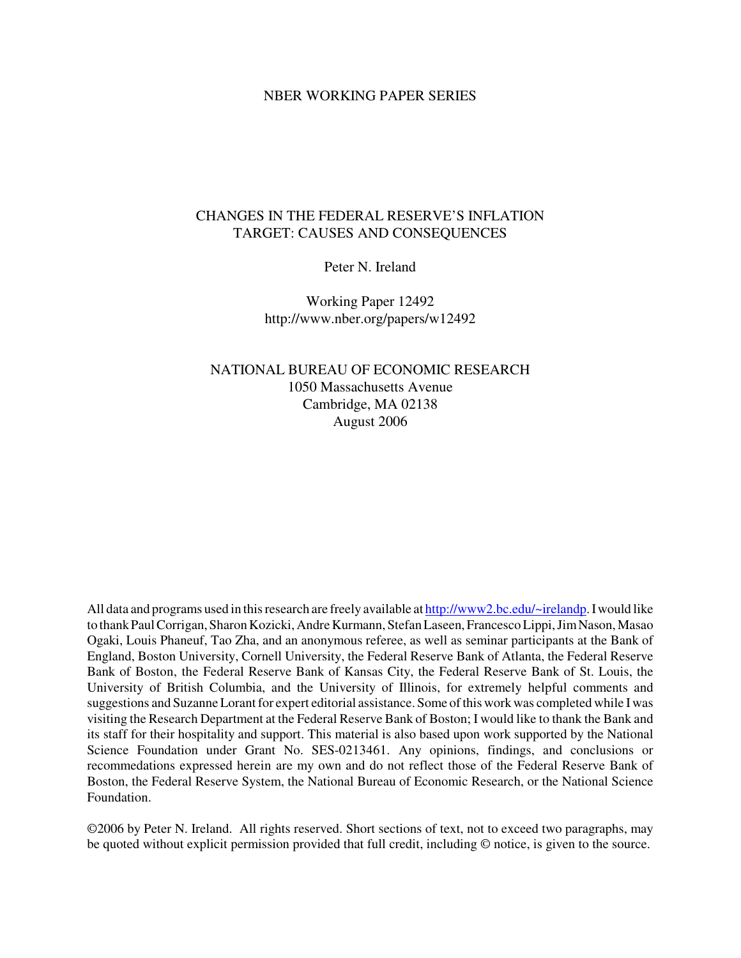#### NBER WORKING PAPER SERIES

### CHANGES IN THE FEDERAL RESERVE'S INFLATION TARGET: CAUSES AND CONSEQUENCES

Peter N. Ireland

Working Paper 12492 http://www.nber.org/papers/w12492

### NATIONAL BUREAU OF ECONOMIC RESEARCH 1050 Massachusetts Avenue Cambridge, MA 02138 August 2006

All data and programs used in thisresearch are freely available at http://www2.bc.edu/~irelandp.Iwould like to thank Paul Corrigan, Sharon Kozicki, Andre Kurmann, Stefan Laseen, Francesco Lippi, Jim Nason, Masao Ogaki, Louis Phaneuf, Tao Zha, and an anonymous referee, as well as seminar participants at the Bank of England, Boston University, Cornell University, the Federal Reserve Bank of Atlanta, the Federal Reserve Bank of Boston, the Federal Reserve Bank of Kansas City, the Federal Reserve Bank of St. Louis, the University of British Columbia, and the University of Illinois, for extremely helpful comments and suggestions and Suzanne Lorant for expert editorial assistance. Some of this work was completed while I was visiting the Research Department at the Federal Reserve Bank of Boston; I would like to thank the Bank and its staff for their hospitality and support. This material is also based upon work supported by the National Science Foundation under Grant No. SES-0213461. Any opinions, findings, and conclusions or recommedations expressed herein are my own and do not reflect those of the Federal Reserve Bank of Boston, the Federal Reserve System, the National Bureau of Economic Research, or the National Science Foundation.

©2006 by Peter N. Ireland. All rights reserved. Short sections of text, not to exceed two paragraphs, may be quoted without explicit permission provided that full credit, including © notice, is given to the source.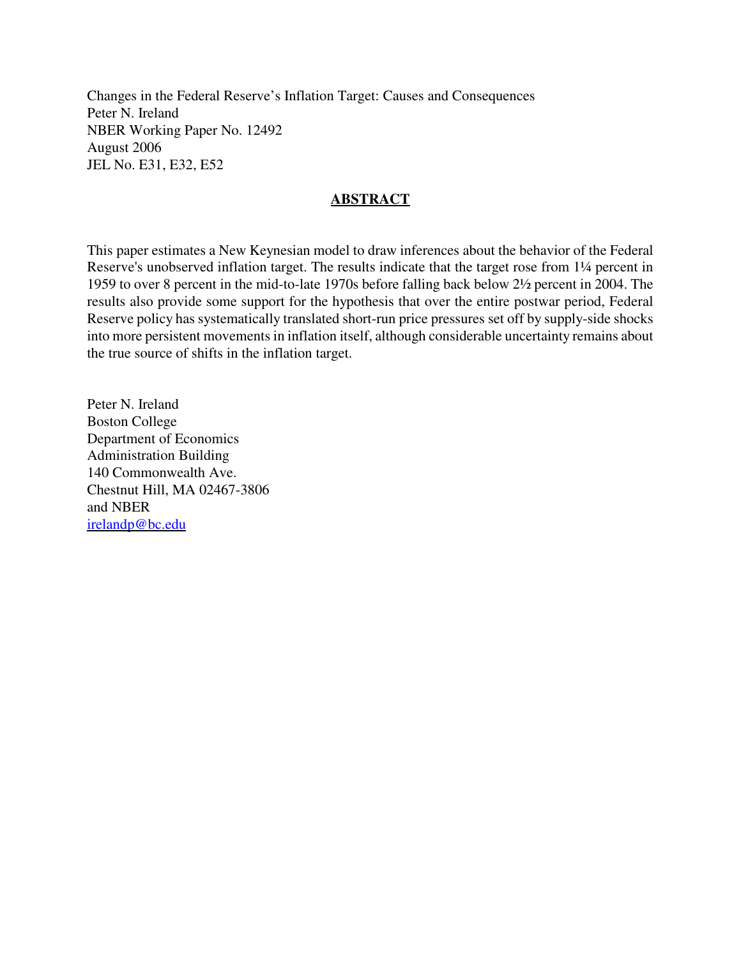Changes in the Federal Reserve's Inflation Target: Causes and Consequences Peter N. Ireland NBER Working Paper No. 12492 August 2006 JEL No. E31, E32, E52

### **ABSTRACT**

This paper estimates a New Keynesian model to draw inferences about the behavior of the Federal Reserve's unobserved inflation target. The results indicate that the target rose from 1¼ percent in 1959 to over 8 percent in the mid-to-late 1970s before falling back below 2½ percent in 2004. The results also provide some support for the hypothesis that over the entire postwar period, Federal Reserve policy has systematically translated short-run price pressures set off by supply-side shocks into more persistent movements in inflation itself, although considerable uncertainty remains about the true source of shifts in the inflation target.

Peter N. Ireland Boston College Department of Economics Administration Building 140 Commonwealth Ave. Chestnut Hill, MA 02467-3806 and NBER irelandp@bc.edu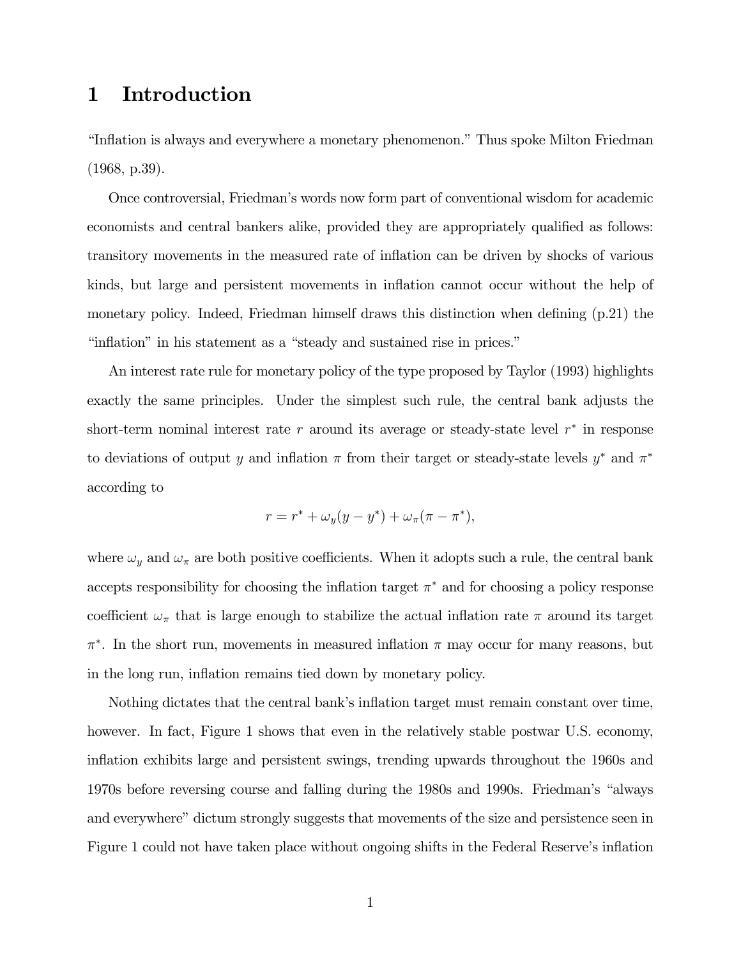## 1 Introduction

"Inflation is always and everywhere a monetary phenomenon." Thus spoke Milton Friedman (1968, p.39).

Once controversial, Friedman's words now form part of conventional wisdom for academic economists and central bankers alike, provided they are appropriately qualified as follows: transitory movements in the measured rate of inflation can be driven by shocks of various kinds, but large and persistent movements in inflation cannot occur without the help of monetary policy. Indeed, Friedman himself draws this distinction when defining (p.21) the "inflation" in his statement as a "steady and sustained rise in prices."

An interest rate rule for monetary policy of the type proposed by Taylor (1993) highlights exactly the same principles. Under the simplest such rule, the central bank adjusts the short-term nominal interest rate r around its average or steady-state level  $r^*$  in response to deviations of output y and inflation  $\pi$  from their target or steady-state levels  $y^*$  and  $\pi^*$ according to

$$
r = r^* + \omega_y(y - y^*) + \omega_\pi(\pi - \pi^*),
$$

where  $\omega_y$  and  $\omega_\pi$  are both positive coefficients. When it adopts such a rule, the central bank accepts responsibility for choosing the inflation target  $\pi^*$  and for choosing a policy response coefficient  $\omega_{\pi}$  that is large enough to stabilize the actual inflation rate  $\pi$  around its target  $\pi^*$ . In the short run, movements in measured inflation  $\pi$  may occur for many reasons, but in the long run, inflation remains tied down by monetary policy.

Nothing dictates that the central bank's inflation target must remain constant over time, however. In fact, Figure 1 shows that even in the relatively stable postwar U.S. economy, inflation exhibits large and persistent swings, trending upwards throughout the 1960s and 1970s before reversing course and falling during the 1980s and 1990s. Friedman's "always and everywhere" dictum strongly suggests that movements of the size and persistence seen in Figure 1 could not have taken place without ongoing shifts in the Federal Reserve's inflation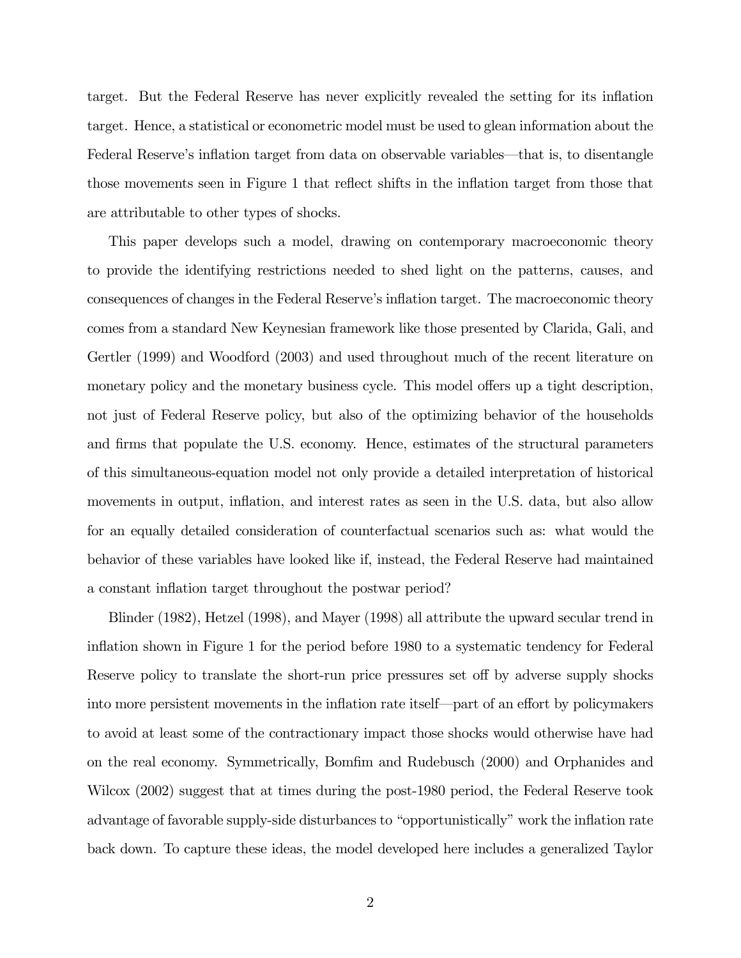target. But the Federal Reserve has never explicitly revealed the setting for its inflation target. Hence, a statistical or econometric model must be used to glean information about the Federal Reserve's inflation target from data on observable variables–that is, to disentangle those movements seen in Figure 1 that reflect shifts in the inflation target from those that are attributable to other types of shocks.

This paper develops such a model, drawing on contemporary macroeconomic theory to provide the identifying restrictions needed to shed light on the patterns, causes, and consequences of changes in the Federal Reserve's inflation target. The macroeconomic theory comes from a standard New Keynesian framework like those presented by Clarida, Gali, and Gertler (1999) and Woodford (2003) and used throughout much of the recent literature on monetary policy and the monetary business cycle. This model offers up a tight description, not just of Federal Reserve policy, but also of the optimizing behavior of the households and firms that populate the U.S. economy. Hence, estimates of the structural parameters of this simultaneous-equation model not only provide a detailed interpretation of historical movements in output, inflation, and interest rates as seen in the U.S. data, but also allow for an equally detailed consideration of counterfactual scenarios such as: what would the behavior of these variables have looked like if, instead, the Federal Reserve had maintained a constant inflation target throughout the postwar period?

Blinder (1982), Hetzel (1998), and Mayer (1998) all attribute the upward secular trend in inflation shown in Figure 1 for the period before 1980 to a systematic tendency for Federal Reserve policy to translate the short-run price pressures set off by adverse supply shocks into more persistent movements in the inflation rate itself–part of an effort by policymakers to avoid at least some of the contractionary impact those shocks would otherwise have had on the real economy. Symmetrically, Bomfim and Rudebusch (2000) and Orphanides and Wilcox (2002) suggest that at times during the post-1980 period, the Federal Reserve took advantage of favorable supply-side disturbances to "opportunistically" work the inflation rate back down. To capture these ideas, the model developed here includes a generalized Taylor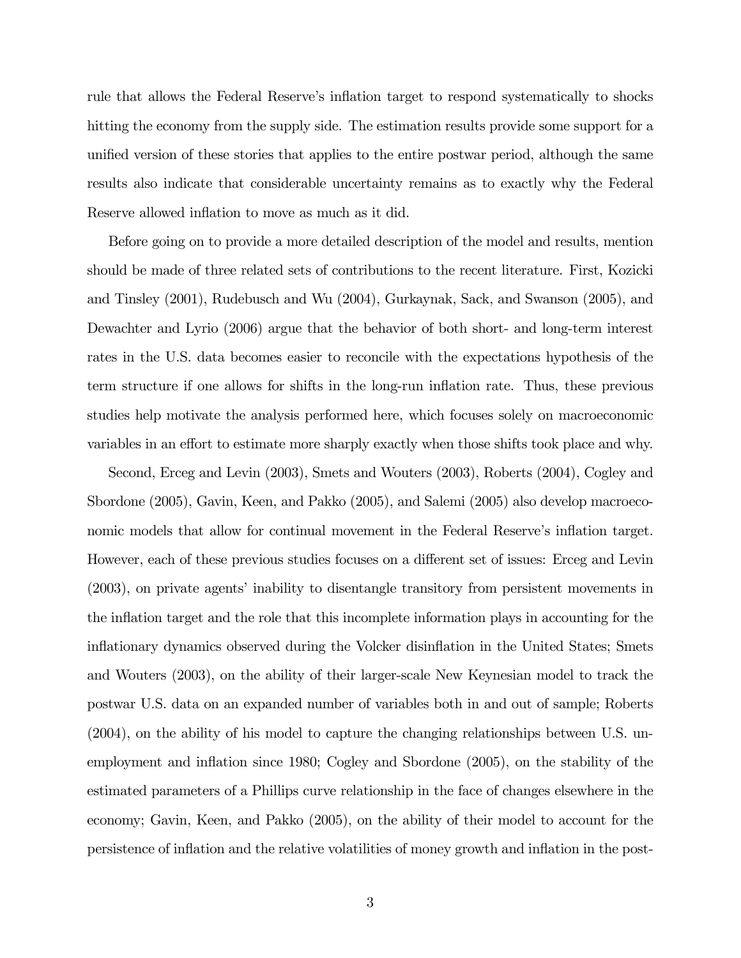rule that allows the Federal Reserve's inflation target to respond systematically to shocks hitting the economy from the supply side. The estimation results provide some support for a unified version of these stories that applies to the entire postwar period, although the same results also indicate that considerable uncertainty remains as to exactly why the Federal Reserve allowed inflation to move as much as it did.

Before going on to provide a more detailed description of the model and results, mention should be made of three related sets of contributions to the recent literature. First, Kozicki and Tinsley (2001), Rudebusch and Wu (2004), Gurkaynak, Sack, and Swanson (2005), and Dewachter and Lyrio (2006) argue that the behavior of both short- and long-term interest rates in the U.S. data becomes easier to reconcile with the expectations hypothesis of the term structure if one allows for shifts in the long-run inflation rate. Thus, these previous studies help motivate the analysis performed here, which focuses solely on macroeconomic variables in an effort to estimate more sharply exactly when those shifts took place and why.

Second, Erceg and Levin (2003), Smets and Wouters (2003), Roberts (2004), Cogley and Sbordone (2005), Gavin, Keen, and Pakko (2005), and Salemi (2005) also develop macroeconomic models that allow for continual movement in the Federal Reserve's inflation target. However, each of these previous studies focuses on a different set of issues: Erceg and Levin (2003), on private agents' inability to disentangle transitory from persistent movements in the inflation target and the role that this incomplete information plays in accounting for the inflationary dynamics observed during the Volcker disinflation in the United States; Smets and Wouters (2003), on the ability of their larger-scale New Keynesian model to track the postwar U.S. data on an expanded number of variables both in and out of sample; Roberts (2004), on the ability of his model to capture the changing relationships between U.S. unemployment and inflation since 1980; Cogley and Sbordone (2005), on the stability of the estimated parameters of a Phillips curve relationship in the face of changes elsewhere in the economy; Gavin, Keen, and Pakko (2005), on the ability of their model to account for the persistence of inflation and the relative volatilities of money growth and inflation in the post-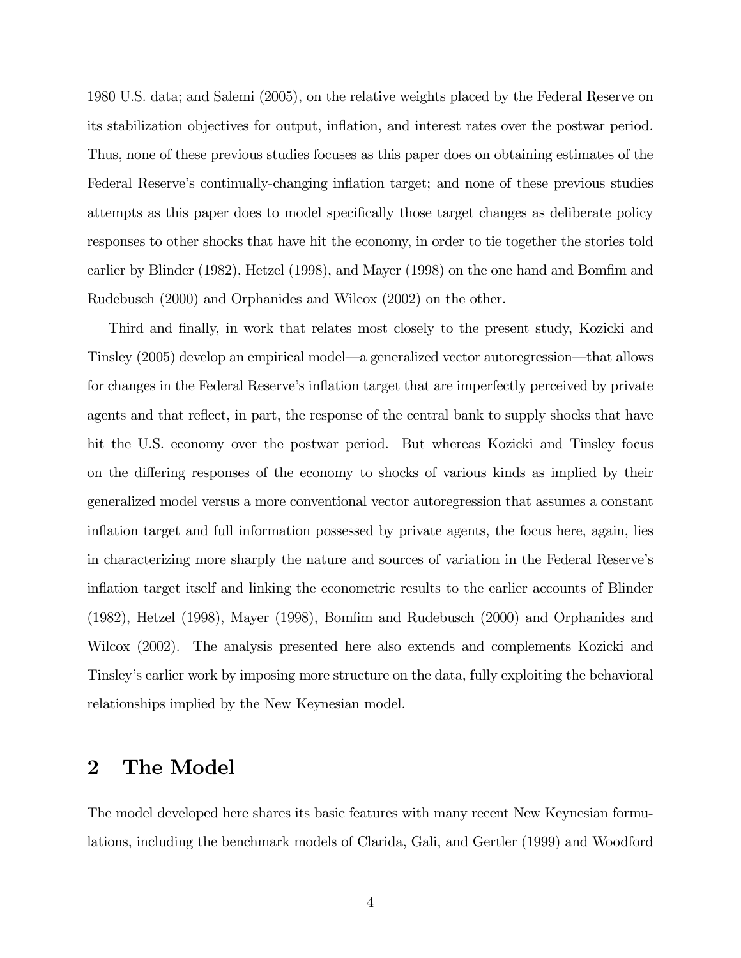1980 U.S. data; and Salemi (2005), on the relative weights placed by the Federal Reserve on its stabilization objectives for output, inflation, and interest rates over the postwar period. Thus, none of these previous studies focuses as this paper does on obtaining estimates of the Federal Reserve's continually-changing inflation target; and none of these previous studies attempts as this paper does to model specifically those target changes as deliberate policy responses to other shocks that have hit the economy, in order to tie together the stories told earlier by Blinder (1982), Hetzel (1998), and Mayer (1998) on the one hand and Bomfim and Rudebusch (2000) and Orphanides and Wilcox (2002) on the other.

Third and finally, in work that relates most closely to the present study, Kozicki and Tinsley (2005) develop an empirical model–a generalized vector autoregression–that allows for changes in the Federal Reserve's inflation target that are imperfectly perceived by private agents and that reflect, in part, the response of the central bank to supply shocks that have hit the U.S. economy over the postwar period. But whereas Kozicki and Tinsley focus on the differing responses of the economy to shocks of various kinds as implied by their generalized model versus a more conventional vector autoregression that assumes a constant inflation target and full information possessed by private agents, the focus here, again, lies in characterizing more sharply the nature and sources of variation in the Federal Reserve's inflation target itself and linking the econometric results to the earlier accounts of Blinder (1982), Hetzel (1998), Mayer (1998), Bomfim and Rudebusch (2000) and Orphanides and Wilcox (2002). The analysis presented here also extends and complements Kozicki and Tinsley's earlier work by imposing more structure on the data, fully exploiting the behavioral relationships implied by the New Keynesian model.

## 2 The Model

The model developed here shares its basic features with many recent New Keynesian formulations, including the benchmark models of Clarida, Gali, and Gertler (1999) and Woodford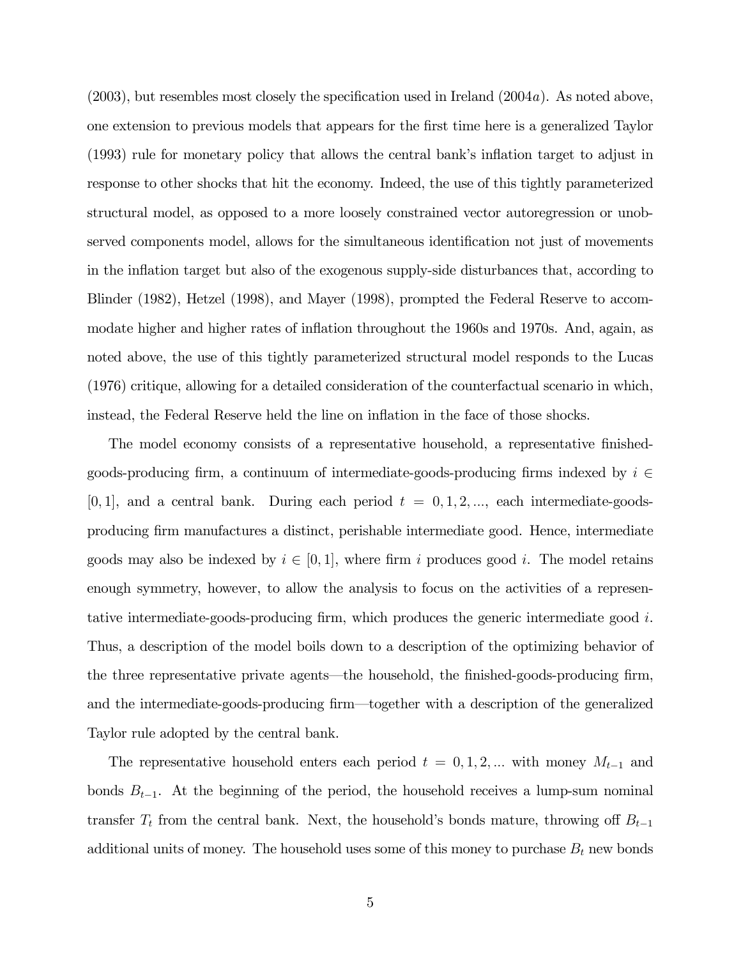$(2003)$ , but resembles most closely the specification used in Ireland  $(2004a)$ . As noted above, one extension to previous models that appears for the first time here is a generalized Taylor (1993) rule for monetary policy that allows the central bank's inflation target to adjust in response to other shocks that hit the economy. Indeed, the use of this tightly parameterized structural model, as opposed to a more loosely constrained vector autoregression or unobserved components model, allows for the simultaneous identification not just of movements in the inflation target but also of the exogenous supply-side disturbances that, according to Blinder (1982), Hetzel (1998), and Mayer (1998), prompted the Federal Reserve to accommodate higher and higher rates of inflation throughout the 1960s and 1970s. And, again, as noted above, the use of this tightly parameterized structural model responds to the Lucas (1976) critique, allowing for a detailed consideration of the counterfactual scenario in which, instead, the Federal Reserve held the line on inflation in the face of those shocks.

The model economy consists of a representative household, a representative finishedgoods-producing firm, a continuum of intermediate-goods-producing firms indexed by  $i \in$  $[0, 1]$ , and a central bank. During each period  $t = 0, 1, 2, \dots$ , each intermediate-goodsproducing firm manufactures a distinct, perishable intermediate good. Hence, intermediate goods may also be indexed by  $i \in [0,1]$ , where firm i produces good i. The model retains enough symmetry, however, to allow the analysis to focus on the activities of a representative intermediate-goods-producing firm, which produces the generic intermediate good  $i$ . Thus, a description of the model boils down to a description of the optimizing behavior of the three representative private agents–the household, the finished-goods-producing firm, and the intermediate-goods-producing firm–together with a description of the generalized Taylor rule adopted by the central bank.

The representative household enters each period  $t = 0, 1, 2, ...$  with money  $M_{t-1}$  and bonds  $B_{t-1}$ . At the beginning of the period, the household receives a lump-sum nominal transfer  $T_t$  from the central bank. Next, the household's bonds mature, throwing off  $B_{t-1}$ additional units of money. The household uses some of this money to purchase  $B_t$  new bonds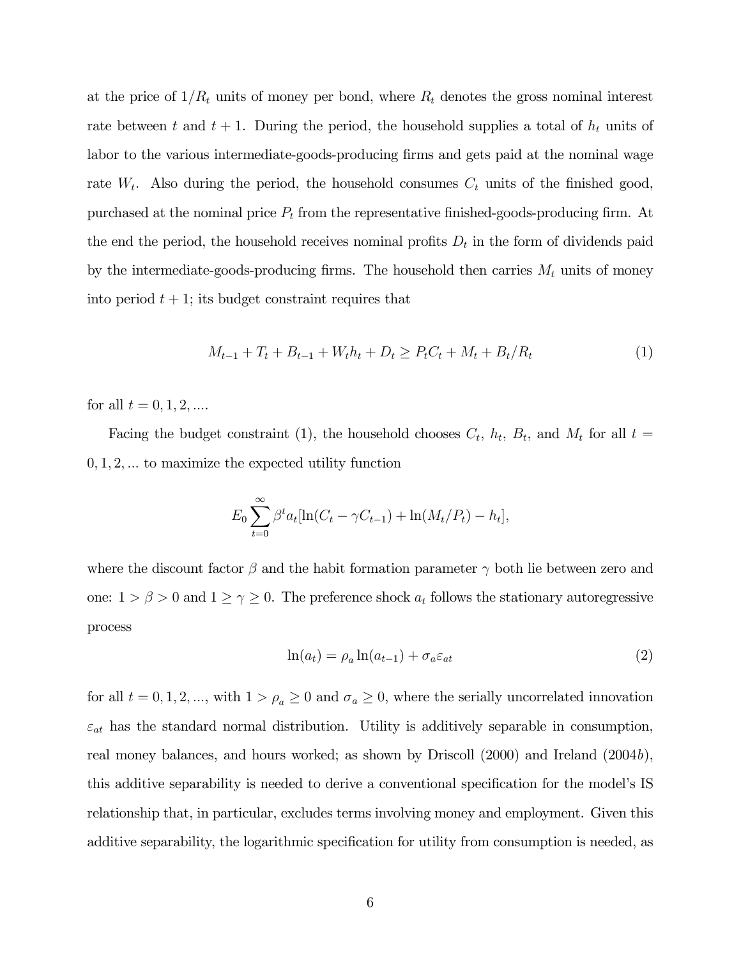at the price of  $1/R_t$  units of money per bond, where  $R_t$  denotes the gross nominal interest rate between t and  $t + 1$ . During the period, the household supplies a total of  $h_t$  units of labor to the various intermediate-goods-producing firms and gets paid at the nominal wage rate  $W_t$ . Also during the period, the household consumes  $C_t$  units of the finished good, purchased at the nominal price  $P_t$  from the representative finished-goods-producing firm. At the end the period, the household receives nominal profits  $D_t$  in the form of dividends paid by the intermediate-goods-producing firms. The household then carries  $M_t$  units of money into period  $t + 1$ ; its budget constraint requires that

$$
M_{t-1} + T_t + B_{t-1} + W_t h_t + D_t \ge P_t C_t + M_t + B_t / R_t \tag{1}
$$

for all  $t = 0, 1, 2, ...$ 

Facing the budget constraint (1), the household chooses  $C_t$ ,  $h_t$ ,  $B_t$ , and  $M_t$  for all  $t =$  $0, 1, 2, \ldots$  to maximize the expected utility function

$$
E_0 \sum_{t=0}^{\infty} \beta^t a_t [\ln(C_t - \gamma C_{t-1}) + \ln(M_t/P_t) - h_t],
$$

where the discount factor  $\beta$  and the habit formation parameter  $\gamma$  both lie between zero and one:  $1 > \beta > 0$  and  $1 \ge \gamma \ge 0$ . The preference shock  $a_t$  follows the stationary autoregressive process

$$
\ln(a_t) = \rho_a \ln(a_{t-1}) + \sigma_a \varepsilon_{at} \tag{2}
$$

for all  $t = 0, 1, 2, ...,$  with  $1 > \rho_a \geq 0$  and  $\sigma_a \geq 0$ , where the serially uncorrelated innovation  $\varepsilon_{at}$  has the standard normal distribution. Utility is additively separable in consumption, real money balances, and hours worked; as shown by Driscoll (2000) and Ireland (2004b), this additive separability is needed to derive a conventional specification for the model's IS relationship that, in particular, excludes terms involving money and employment. Given this additive separability, the logarithmic specification for utility from consumption is needed, as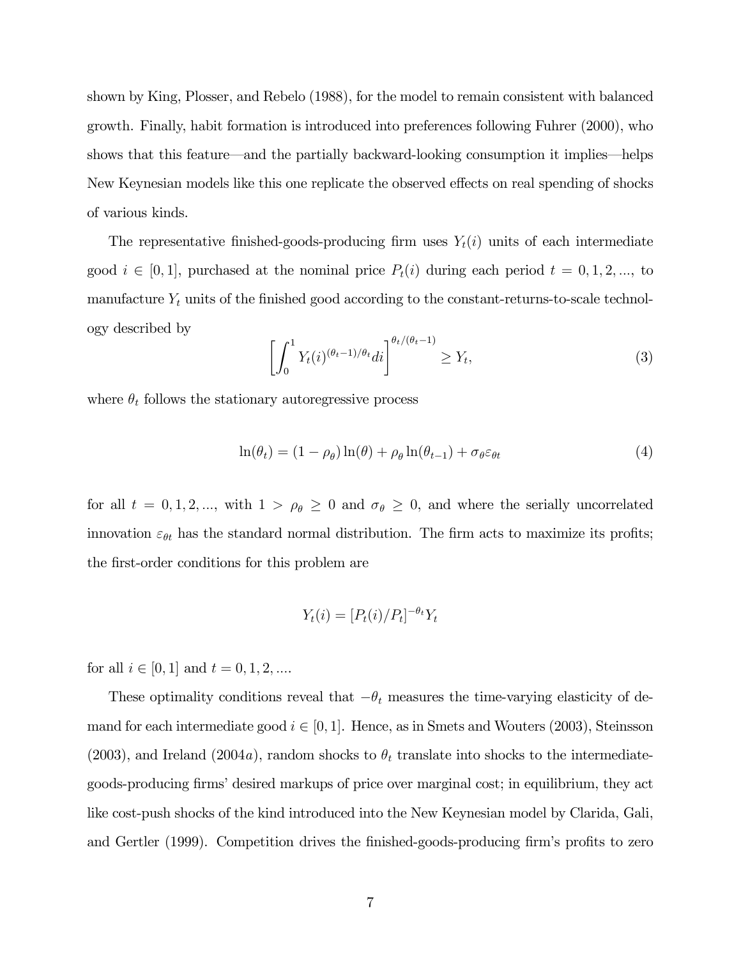shown by King, Plosser, and Rebelo (1988), for the model to remain consistent with balanced growth. Finally, habit formation is introduced into preferences following Fuhrer (2000), who shows that this feature–and the partially backward-looking consumption it implies–helps New Keynesian models like this one replicate the observed effects on real spending of shocks of various kinds.

The representative finished-goods-producing firm uses  $Y_t(i)$  units of each intermediate good  $i \in [0,1]$ , purchased at the nominal price  $P_t(i)$  during each period  $t = 0,1,2,...$ , to manufacture  $Y_t$  units of the finished good according to the constant-returns-to-scale technology described by

$$
\left[\int_0^1 Y_t(i)^{(\theta_t - 1)/\theta_t} di\right]^{\theta_t/(\theta_t - 1)} \ge Y_t,
$$
\n(3)

where  $\theta_t$  follows the stationary autoregressive process

$$
\ln(\theta_t) = (1 - \rho_\theta) \ln(\theta) + \rho_\theta \ln(\theta_{t-1}) + \sigma_\theta \varepsilon_{\theta t} \tag{4}
$$

for all  $t = 0, 1, 2, \dots$ , with  $1 > \rho_{\theta} \geq 0$  and  $\sigma_{\theta} \geq 0$ , and where the serially uncorrelated innovation  $\varepsilon_{\theta t}$  has the standard normal distribution. The firm acts to maximize its profits; the first-order conditions for this problem are

$$
Y_t(i) = [P_t(i)/P_t]^{-\theta_t} Y_t
$$

for all  $i \in [0, 1]$  and  $t = 0, 1, 2, ...$ 

These optimality conditions reveal that  $-\theta_t$  measures the time-varying elasticity of demand for each intermediate good  $i \in [0, 1]$ . Hence, as in Smets and Wouters (2003), Steinsson (2003), and Ireland (2004a), random shocks to  $\theta_t$  translate into shocks to the intermediategoods-producing firms' desired markups of price over marginal cost; in equilibrium, they act like cost-push shocks of the kind introduced into the New Keynesian model by Clarida, Gali, and Gertler (1999). Competition drives the finished-goods-producing firm's profits to zero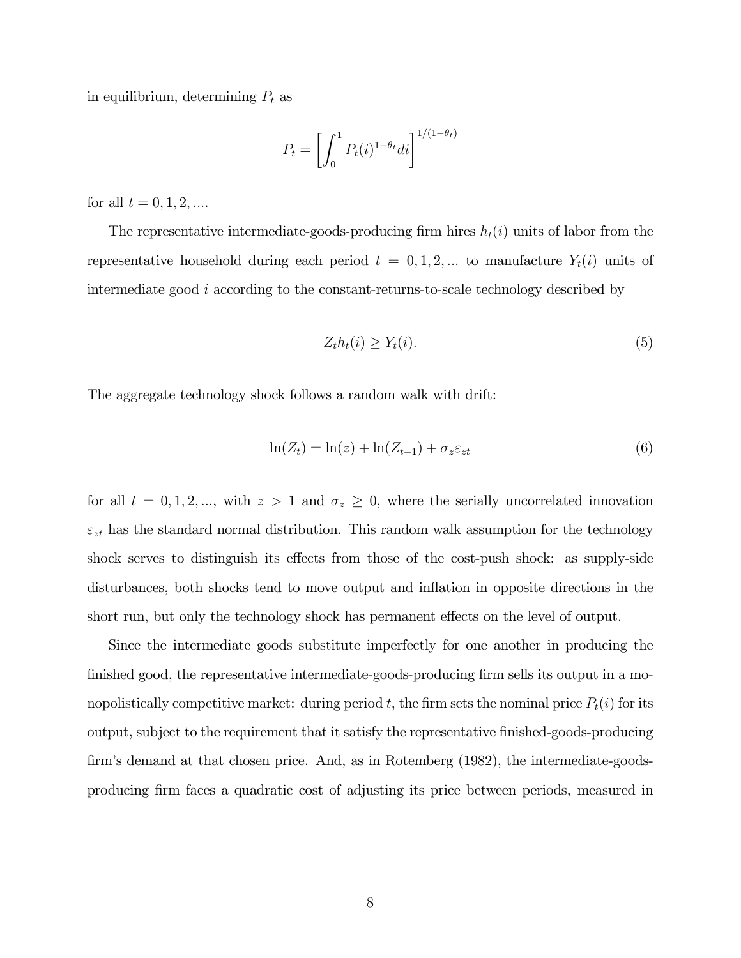in equilibrium, determining  $P_t$  as

$$
P_t = \left[ \int_0^1 P_t(i)^{1-\theta_t} di \right]^{1/(1-\theta_t)}
$$

for all  $t = 0, 1, 2, ...$ 

The representative intermediate-goods-producing firm hires  $h_t(i)$  units of labor from the representative household during each period  $t = 0, 1, 2, ...$  to manufacture  $Y_t(i)$  units of intermediate good i according to the constant-returns-to-scale technology described by

$$
Z_t h_t(i) \ge Y_t(i). \tag{5}
$$

The aggregate technology shock follows a random walk with drift:

$$
\ln(Z_t) = \ln(z) + \ln(Z_{t-1}) + \sigma_z \varepsilon_{zt} \tag{6}
$$

for all  $t = 0, 1, 2, \dots$ , with  $z > 1$  and  $\sigma_z \geq 0$ , where the serially uncorrelated innovation  $\varepsilon_{zt}$  has the standard normal distribution. This random walk assumption for the technology shock serves to distinguish its effects from those of the cost-push shock: as supply-side disturbances, both shocks tend to move output and inflation in opposite directions in the short run, but only the technology shock has permanent effects on the level of output.

Since the intermediate goods substitute imperfectly for one another in producing the finished good, the representative intermediate-goods-producing firm sells its output in a monopolistically competitive market: during period t, the firm sets the nominal price  $P_t(i)$  for its output, subject to the requirement that it satisfy the representative finished-goods-producing firm's demand at that chosen price. And, as in Rotemberg (1982), the intermediate-goodsproducing firm faces a quadratic cost of adjusting its price between periods, measured in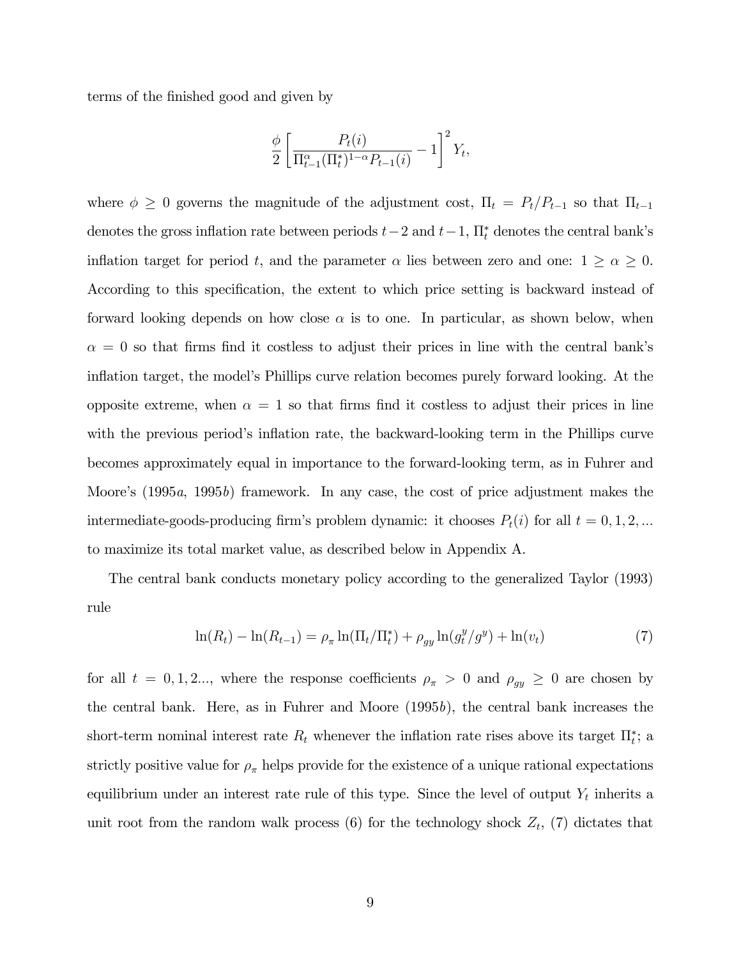terms of the finished good and given by

$$
\frac{\phi}{2} \left[ \frac{P_t(i)}{\Pi_{t-1}^{\alpha} (\Pi_t^*)^{1-\alpha} P_{t-1}(i)} - 1 \right]^2 Y_t,
$$

where  $\phi \geq 0$  governs the magnitude of the adjustment cost,  $\Pi_t = P_t/P_{t-1}$  so that  $\Pi_{t-1}$ denotes the gross inflation rate between periods  $t-2$  and  $t-1$ ,  $\prod_{t}^{*}$  denotes the central bank's inflation target for period t, and the parameter  $\alpha$  lies between zero and one:  $1 \ge \alpha \ge 0$ . According to this specification, the extent to which price setting is backward instead of forward looking depends on how close  $\alpha$  is to one. In particular, as shown below, when  $\alpha = 0$  so that firms find it costless to adjust their prices in line with the central bank's inflation target, the model's Phillips curve relation becomes purely forward looking. At the opposite extreme, when  $\alpha = 1$  so that firms find it costless to adjust their prices in line with the previous period's inflation rate, the backward-looking term in the Phillips curve becomes approximately equal in importance to the forward-looking term, as in Fuhrer and Moore's (1995a, 1995b) framework. In any case, the cost of price adjustment makes the intermediate-goods-producing firm's problem dynamic: it chooses  $P_t(i)$  for all  $t = 0, 1, 2, ...$ to maximize its total market value, as described below in Appendix A.

The central bank conducts monetary policy according to the generalized Taylor (1993) rule

$$
\ln(R_t) - \ln(R_{t-1}) = \rho_\pi \ln(\Pi_t/\Pi_t^*) + \rho_{gy} \ln(g_t^y/g^y) + \ln(v_t)
$$
\n(7)

for all  $t = 0, 1, 2...$ , where the response coefficients  $\rho_{\pi} > 0$  and  $\rho_{gy} \ge 0$  are chosen by the central bank. Here, as in Fuhrer and Moore  $(1995b)$ , the central bank increases the short-term nominal interest rate  $R_t$  whenever the inflation rate rises above its target  $\Pi_t^*$ ; a strictly positive value for  $\rho_{\pi}$  helps provide for the existence of a unique rational expectations equilibrium under an interest rate rule of this type. Since the level of output  $Y_t$  inherits a unit root from the random walk process (6) for the technology shock  $Z_t$ , (7) dictates that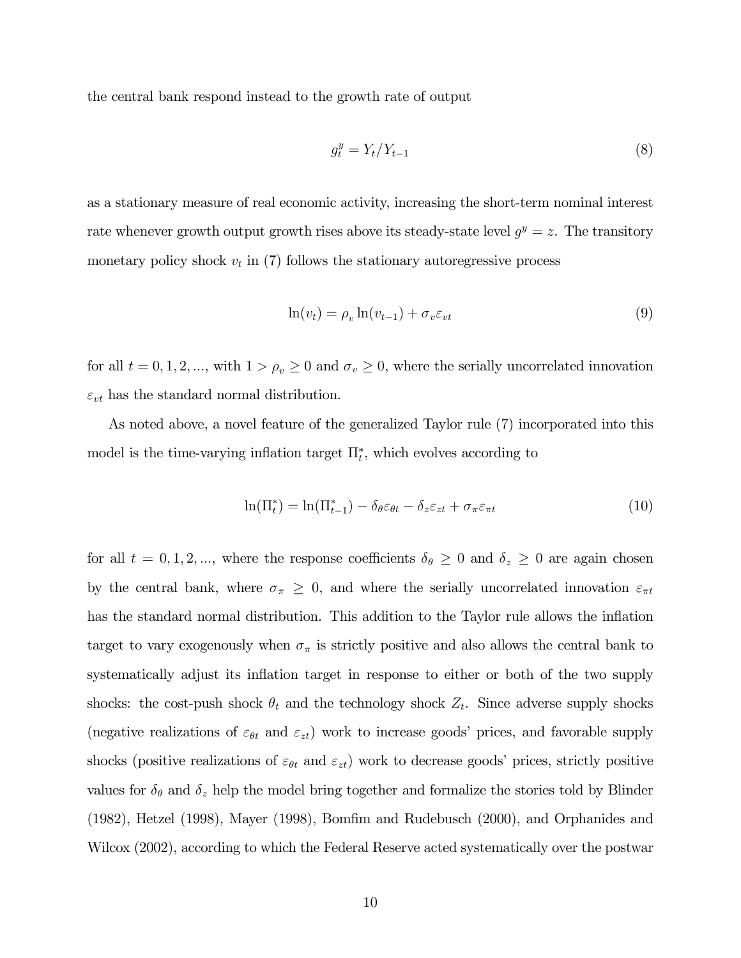the central bank respond instead to the growth rate of output

$$
g_t^y = Y_t/Y_{t-1} \tag{8}
$$

as a stationary measure of real economic activity, increasing the short-term nominal interest rate whenever growth output growth rises above its steady-state level  $g^y = z$ . The transitory monetary policy shock  $v_t$  in (7) follows the stationary autoregressive process

$$
\ln(v_t) = \rho_v \ln(v_{t-1}) + \sigma_v \varepsilon_{vt} \tag{9}
$$

for all  $t = 0, 1, 2, \dots$ , with  $1 > \rho_v \ge 0$  and  $\sigma_v \ge 0$ , where the serially uncorrelated innovation  $\varepsilon_{vt}$  has the standard normal distribution.

As noted above, a novel feature of the generalized Taylor rule (7) incorporated into this model is the time-varying inflation target  $\Pi_t^*$ , which evolves according to

$$
\ln(\Pi_t^*) = \ln(\Pi_{t-1}^*) - \delta_\theta \varepsilon_{\theta t} - \delta_z \varepsilon_{zt} + \sigma_\pi \varepsilon_{\pi t} \tag{10}
$$

for all  $t = 0, 1, 2, \dots$ , where the response coefficients  $\delta_{\theta} \ge 0$  and  $\delta_{z} \ge 0$  are again chosen by the central bank, where  $\sigma_{\pi} \geq 0$ , and where the serially uncorrelated innovation  $\varepsilon_{\pi t}$ has the standard normal distribution. This addition to the Taylor rule allows the inflation target to vary exogenously when  $\sigma_{\pi}$  is strictly positive and also allows the central bank to systematically adjust its inflation target in response to either or both of the two supply shocks: the cost-push shock  $\theta_t$  and the technology shock  $Z_t$ . Since adverse supply shocks (negative realizations of  $\varepsilon_{\theta t}$  and  $\varepsilon_{zt}$ ) work to increase goods' prices, and favorable supply shocks (positive realizations of  $\varepsilon_{\theta t}$  and  $\varepsilon_{zt}$ ) work to decrease goods' prices, strictly positive values for  $\delta_{\theta}$  and  $\delta_{z}$  help the model bring together and formalize the stories told by Blinder (1982), Hetzel (1998), Mayer (1998), Bomfim and Rudebusch (2000), and Orphanides and Wilcox (2002), according to which the Federal Reserve acted systematically over the postwar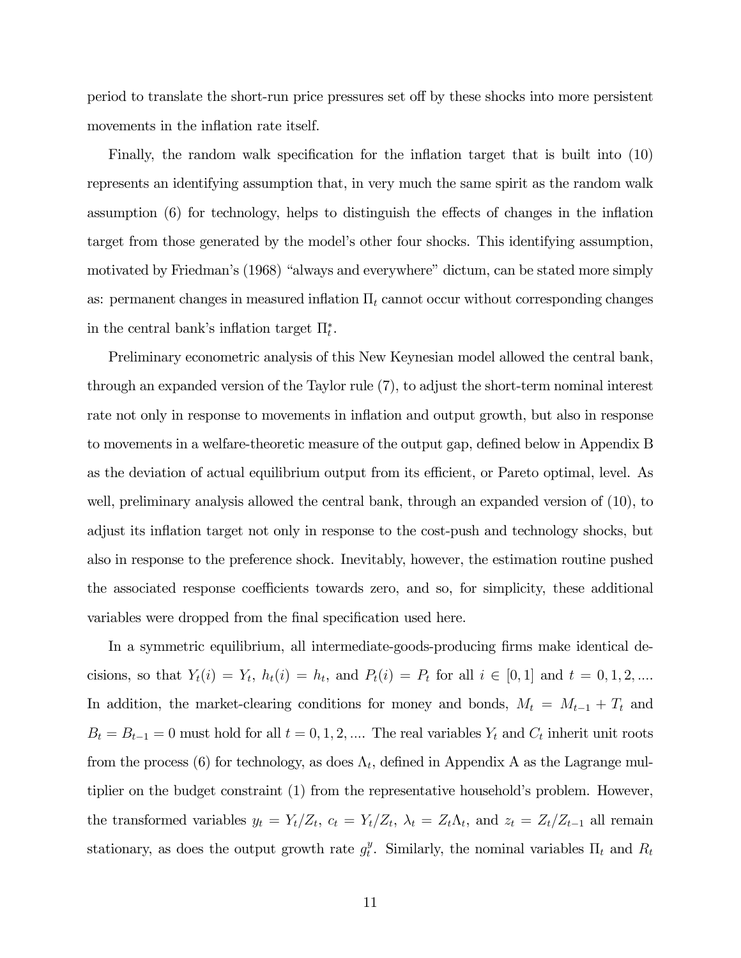period to translate the short-run price pressures set off by these shocks into more persistent movements in the inflation rate itself.

Finally, the random walk specification for the inflation target that is built into (10) represents an identifying assumption that, in very much the same spirit as the random walk assumption (6) for technology, helps to distinguish the effects of changes in the inflation target from those generated by the model's other four shocks. This identifying assumption, motivated by Friedman's (1968) "always and everywhere" dictum, can be stated more simply as: permanent changes in measured inflation  $\Pi_t$  cannot occur without corresponding changes in the central bank's inflation target  $\Pi_t^*$ .

Preliminary econometric analysis of this New Keynesian model allowed the central bank, through an expanded version of the Taylor rule (7), to adjust the short-term nominal interest rate not only in response to movements in inflation and output growth, but also in response to movements in a welfare-theoretic measure of the output gap, defined below in Appendix B as the deviation of actual equilibrium output from its efficient, or Pareto optimal, level. As well, preliminary analysis allowed the central bank, through an expanded version of (10), to adjust its inflation target not only in response to the cost-push and technology shocks, but also in response to the preference shock. Inevitably, however, the estimation routine pushed the associated response coefficients towards zero, and so, for simplicity, these additional variables were dropped from the final specification used here.

In a symmetric equilibrium, all intermediate-goods-producing firms make identical decisions, so that  $Y_t(i) = Y_t$ ,  $h_t(i) = h_t$ , and  $P_t(i) = P_t$  for all  $i \in [0, 1]$  and  $t = 0, 1, 2, ...$ In addition, the market-clearing conditions for money and bonds,  $M_t = M_{t-1} + T_t$  and  $B_t = B_{t-1} = 0$  must hold for all  $t = 0, 1, 2, ...$  The real variables  $Y_t$  and  $C_t$  inherit unit roots from the process (6) for technology, as does  $\Lambda_t$ , defined in Appendix A as the Lagrange multiplier on the budget constraint (1) from the representative household's problem. However, the transformed variables  $y_t = Y_t/Z_t$ ,  $c_t = Y_t/Z_t$ ,  $\lambda_t = Z_t \Lambda_t$ , and  $z_t = Z_t/Z_{t-1}$  all remain stationary, as does the output growth rate  $g_t^y$ . Similarly, the nominal variables  $\Pi_t$  and  $R_t$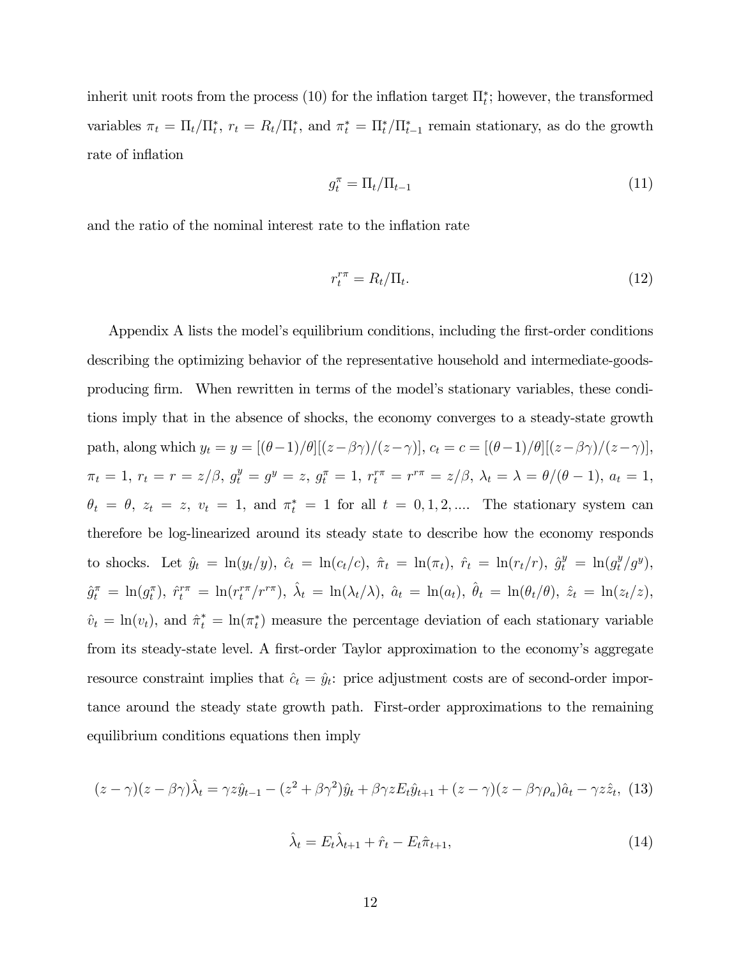inherit unit roots from the process (10) for the inflation target  $\Pi_t^*$ ; however, the transformed variables  $\pi_t = \Pi_t / \Pi_t^*$ ,  $r_t = R_t / \Pi_t^*$ , and  $\pi_t^* = \Pi_t^* / \Pi_{t-1}^*$  remain stationary, as do the growth rate of inflation

$$
g_t^{\pi} = \Pi_t / \Pi_{t-1} \tag{11}
$$

and the ratio of the nominal interest rate to the inflation rate

$$
r_t^{r\pi} = R_t / \Pi_t. \tag{12}
$$

Appendix A lists the model's equilibrium conditions, including the first-order conditions describing the optimizing behavior of the representative household and intermediate-goodsproducing firm. When rewritten in terms of the model's stationary variables, these conditions imply that in the absence of shocks, the economy converges to a steady-state growth path, along which  $y_t = y = [(\theta-1)/\theta][(z-\beta\gamma)/(z-\gamma)], c_t = c = [(\theta-1)/\theta][(z-\beta\gamma)/(z-\gamma)],$  $\pi_t = 1, r_t = r = z/\beta, g_t^y = g^y = z, g_t^{\pi} = 1, r_t^{\tau \pi} = r^{\tau \pi} = z/\beta, \lambda_t = \lambda = \theta/(\theta - 1), a_t = 1,$  $\theta_t = \theta$ ,  $z_t = z$ ,  $v_t = 1$ , and  $\pi_t^* = 1$  for all  $t = 0, 1, 2, \dots$  The stationary system can therefore be log-linearized around its steady state to describe how the economy responds to shocks. Let  $\hat{y}_t = \ln(y_t/y)$ ,  $\hat{c}_t = \ln(c_t/c)$ ,  $\hat{\pi}_t = \ln(\pi_t)$ ,  $\hat{r}_t = \ln(r_t/r)$ ,  $\hat{g}_t^y = \ln(g_t^y/g^y)$ ,  $\hat{g}^\pi_t\ =\ \ln(g^\pi_t),\ \hat{r}^{r\pi}_t\ =\ \ln(r^{r\pi}_t/r^{r\pi}),\ \hat{\lambda}_t\ =\ \ln(\lambda_t/\lambda),\ \hat{a}_t\ =\ \ln(a_t),\ \hat{\theta}_t\ =\ \ln(\theta_t/\theta),\ \hat{z}_t\ =\ \ln(z_t/z),$  $\hat{v}_t = \ln(v_t)$ , and  $\hat{\pi}_t^* = \ln(\pi_t^*)$  measure the percentage deviation of each stationary variable from its steady-state level. A first-order Taylor approximation to the economy's aggregate resource constraint implies that  $\hat{c}_t = \hat{y}_t$ : price adjustment costs are of second-order importance around the steady state growth path. First-order approximations to the remaining equilibrium conditions equations then imply

$$
(z - \gamma)(z - \beta\gamma)\hat{\lambda}_t = \gamma z \hat{y}_{t-1} - (z^2 + \beta\gamma^2)\hat{y}_t + \beta\gamma z E_t \hat{y}_{t+1} + (z - \gamma)(z - \beta\gamma\rho_a)\hat{a}_t - \gamma z \hat{z}_t, (13)
$$

$$
\hat{\lambda}_t = E_t \hat{\lambda}_{t+1} + \hat{r}_t - E_t \hat{\pi}_{t+1},\tag{14}
$$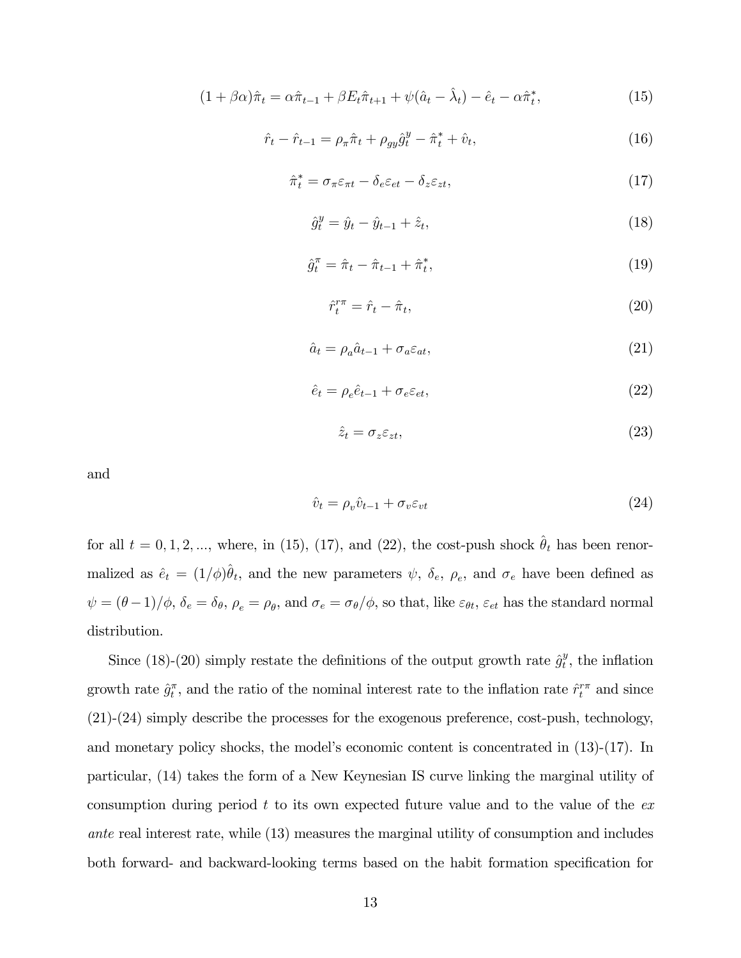$$
(1 + \beta \alpha)\hat{\pi}_t = \alpha \hat{\pi}_{t-1} + \beta E_t \hat{\pi}_{t+1} + \psi(\hat{a}_t - \hat{\lambda}_t) - \hat{e}_t - \alpha \hat{\pi}_t^*,
$$
(15)

$$
\hat{r}_t - \hat{r}_{t-1} = \rho_\pi \hat{\pi}_t + \rho_{gy} \hat{g}_t^y - \hat{\pi}_t^* + \hat{v}_t, \tag{16}
$$

$$
\hat{\pi}_t^* = \sigma_\pi \varepsilon_{\pi t} - \delta_e \varepsilon_{et} - \delta_z \varepsilon_{zt},\tag{17}
$$

$$
\hat{g}_t^y = \hat{y}_t - \hat{y}_{t-1} + \hat{z}_t,\tag{18}
$$

$$
\hat{g}_t^{\pi} = \hat{\pi}_t - \hat{\pi}_{t-1} + \hat{\pi}_t^*,
$$
\n(19)

$$
\hat{r}_t^{\tau \pi} = \hat{r}_t - \hat{\pi}_t,\tag{20}
$$

$$
\hat{a}_t = \rho_a \hat{a}_{t-1} + \sigma_a \varepsilon_{at},\tag{21}
$$

$$
\hat{e}_t = \rho_e \hat{e}_{t-1} + \sigma_e \varepsilon_{et},\tag{22}
$$

$$
\hat{z}_t = \sigma_z \varepsilon_{zt},\tag{23}
$$

and

$$
\hat{v}_t = \rho_v \hat{v}_{t-1} + \sigma_v \varepsilon_{vt} \tag{24}
$$

for all  $t = 0, 1, 2, \dots$ , where, in (15), (17), and (22), the cost-push shock  $\hat{\theta}_t$  has been renormalized as  $\hat{e}_t = (1/\phi)\hat{\theta}_t$ , and the new parameters  $\psi$ ,  $\delta_e$ ,  $\rho_e$ , and  $\sigma_e$  have been defined as  $\psi = (\theta - 1)/\phi$ ,  $\delta_e = \delta_\theta$ ,  $\rho_e = \rho_\theta$ , and  $\sigma_e = \sigma_\theta/\phi$ , so that, like  $\varepsilon_{\theta t}$ ,  $\varepsilon_{et}$  has the standard normal distribution.

Since (18)-(20) simply restate the definitions of the output growth rate  $\hat{g}_t^y$ , the inflation growth rate  $\hat{g}_t^{\pi}$ , and the ratio of the nominal interest rate to the inflation rate  $\hat{r}_t^{\pi\pi}$  and since (21)-(24) simply describe the processes for the exogenous preference, cost-push, technology, and monetary policy shocks, the model's economic content is concentrated in (13)-(17). In particular, (14) takes the form of a New Keynesian IS curve linking the marginal utility of consumption during period t to its own expected future value and to the value of the  $ex$ ante real interest rate, while (13) measures the marginal utility of consumption and includes both forward- and backward-looking terms based on the habit formation specification for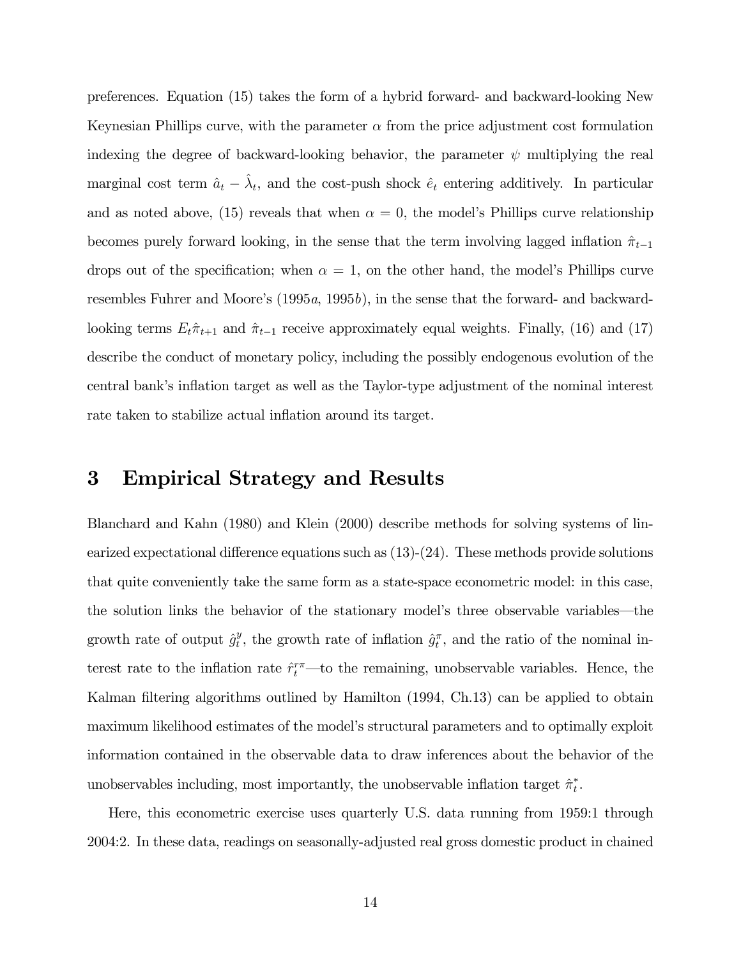preferences. Equation (15) takes the form of a hybrid forward- and backward-looking New Keynesian Phillips curve, with the parameter  $\alpha$  from the price adjustment cost formulation indexing the degree of backward-looking behavior, the parameter  $\psi$  multiplying the real marginal cost term  $\hat{a}_t - \hat{\lambda}_t$ , and the cost-push shock  $\hat{e}_t$  entering additively. In particular and as noted above, (15) reveals that when  $\alpha = 0$ , the model's Phillips curve relationship becomes purely forward looking, in the sense that the term involving lagged inflation  $\hat{\pi}_{t-1}$ drops out of the specification; when  $\alpha = 1$ , on the other hand, the model's Phillips curve resembles Fuhrer and Moore's (1995a, 1995b), in the sense that the forward- and backwardlooking terms  $E_t\hat{\pi}_{t+1}$  and  $\hat{\pi}_{t-1}$  receive approximately equal weights. Finally, (16) and (17) describe the conduct of monetary policy, including the possibly endogenous evolution of the central bank's inflation target as well as the Taylor-type adjustment of the nominal interest rate taken to stabilize actual inflation around its target.

## 3 Empirical Strategy and Results

Blanchard and Kahn (1980) and Klein (2000) describe methods for solving systems of linearized expectational difference equations such as (13)-(24). These methods provide solutions that quite conveniently take the same form as a state-space econometric model: in this case, the solution links the behavior of the stationary model's three observable variables–the growth rate of output  $\hat{g}_t^y$ , the growth rate of inflation  $\hat{g}_t^{\pi}$ , and the ratio of the nominal interest rate to the inflation rate  $\hat{r}_t^{r\pi}$ —to the remaining, unobservable variables. Hence, the Kalman filtering algorithms outlined by Hamilton (1994, Ch.13) can be applied to obtain maximum likelihood estimates of the model's structural parameters and to optimally exploit information contained in the observable data to draw inferences about the behavior of the unobservables including, most importantly, the unobservable inflation target  $\hat{\pi}_t^*$ .

Here, this econometric exercise uses quarterly U.S. data running from 1959:1 through 2004:2. In these data, readings on seasonally-adjusted real gross domestic product in chained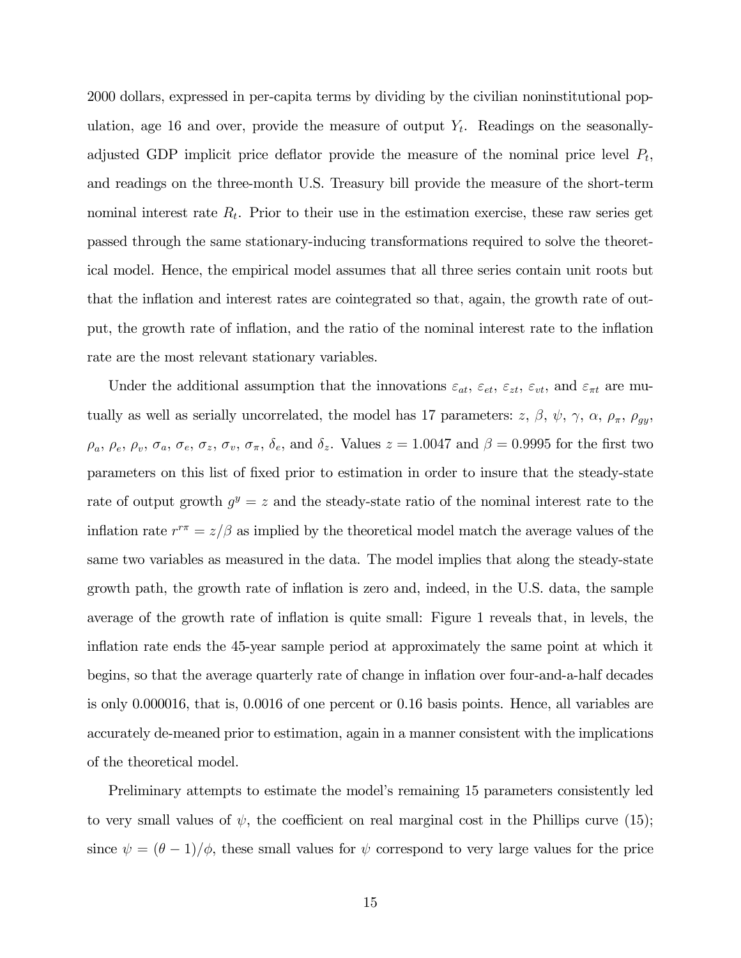2000 dollars, expressed in per-capita terms by dividing by the civilian noninstitutional population, age 16 and over, provide the measure of output  $Y_t$ . Readings on the seasonallyadjusted GDP implicit price deflator provide the measure of the nominal price level  $P_t$ , and readings on the three-month U.S. Treasury bill provide the measure of the short-term nominal interest rate  $R_t$ . Prior to their use in the estimation exercise, these raw series get passed through the same stationary-inducing transformations required to solve the theoretical model. Hence, the empirical model assumes that all three series contain unit roots but that the inflation and interest rates are cointegrated so that, again, the growth rate of output, the growth rate of inflation, and the ratio of the nominal interest rate to the inflation rate are the most relevant stationary variables.

Under the additional assumption that the innovations  $\varepsilon_{at}$ ,  $\varepsilon_{et}$ ,  $\varepsilon_{zt}$ ,  $\varepsilon_{vt}$ , and  $\varepsilon_{\pi t}$  are mutually as well as serially uncorrelated, the model has 17 parameters: z,  $\beta$ ,  $\psi$ ,  $\gamma$ ,  $\alpha$ ,  $\rho_{\pi}$ ,  $\rho_{gy}$ ,  $\rho_a$ ,  $\rho_e$ ,  $\rho_v$ ,  $\sigma_a$ ,  $\sigma_e$ ,  $\sigma_z$ ,  $\sigma_v$ ,  $\sigma_\pi$ ,  $\delta_e$ , and  $\delta_z$ . Values  $z = 1.0047$  and  $\beta = 0.9995$  for the first two parameters on this list of fixed prior to estimation in order to insure that the steady-state rate of output growth  $g^y = z$  and the steady-state ratio of the nominal interest rate to the inflation rate  $r^{\tau\tau} = z/\beta$  as implied by the theoretical model match the average values of the same two variables as measured in the data. The model implies that along the steady-state growth path, the growth rate of inflation is zero and, indeed, in the U.S. data, the sample average of the growth rate of inflation is quite small: Figure 1 reveals that, in levels, the inflation rate ends the 45-year sample period at approximately the same point at which it begins, so that the average quarterly rate of change in inflation over four-and-a-half decades is only 0.000016, that is, 0.0016 of one percent or 0.16 basis points. Hence, all variables are accurately de-meaned prior to estimation, again in a manner consistent with the implications of the theoretical model.

Preliminary attempts to estimate the model's remaining 15 parameters consistently led to very small values of  $\psi$ , the coefficient on real marginal cost in the Phillips curve (15); since  $\psi = (\theta - 1)/\phi$ , these small values for  $\psi$  correspond to very large values for the price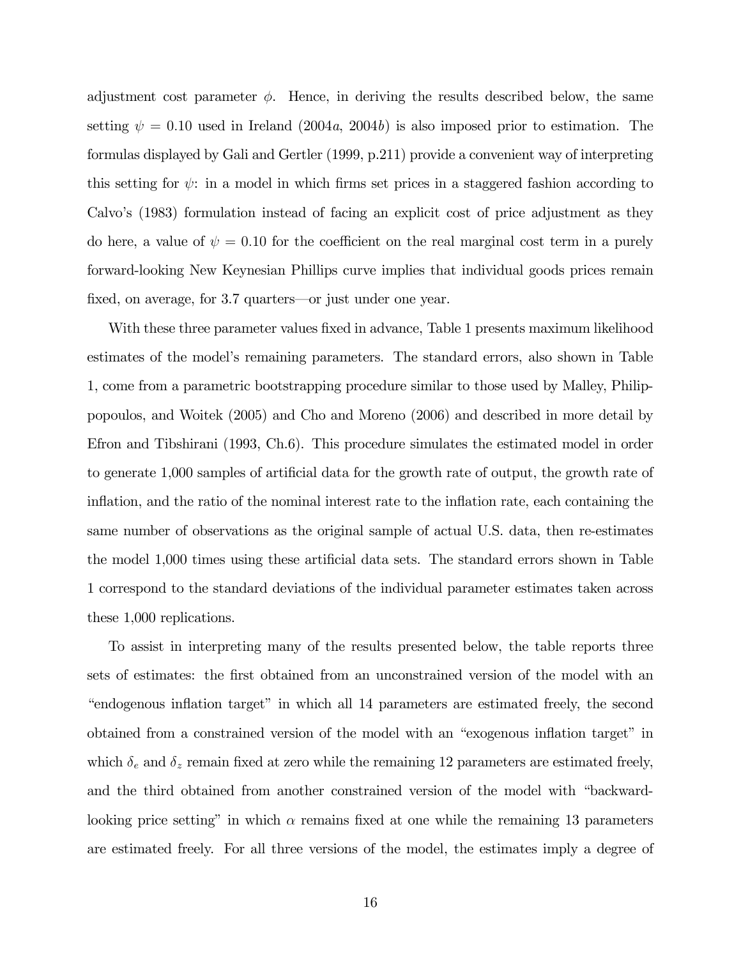adjustment cost parameter  $\phi$ . Hence, in deriving the results described below, the same setting  $\psi = 0.10$  used in Ireland (2004a, 2004b) is also imposed prior to estimation. The formulas displayed by Gali and Gertler (1999, p.211) provide a convenient way of interpreting this setting for  $\psi$ : in a model in which firms set prices in a staggered fashion according to Calvo's (1983) formulation instead of facing an explicit cost of price adjustment as they do here, a value of  $\psi = 0.10$  for the coefficient on the real marginal cost term in a purely forward-looking New Keynesian Phillips curve implies that individual goods prices remain fixed, on average, for 3.7 quarters–or just under one year.

With these three parameter values fixed in advance, Table 1 presents maximum likelihood estimates of the model's remaining parameters. The standard errors, also shown in Table 1, come from a parametric bootstrapping procedure similar to those used by Malley, Philippopoulos, and Woitek (2005) and Cho and Moreno (2006) and described in more detail by Efron and Tibshirani (1993, Ch.6). This procedure simulates the estimated model in order to generate 1,000 samples of artificial data for the growth rate of output, the growth rate of inflation, and the ratio of the nominal interest rate to the inflation rate, each containing the same number of observations as the original sample of actual U.S. data, then re-estimates the model 1,000 times using these artificial data sets. The standard errors shown in Table 1 correspond to the standard deviations of the individual parameter estimates taken across these 1,000 replications.

To assist in interpreting many of the results presented below, the table reports three sets of estimates: the first obtained from an unconstrained version of the model with an "endogenous inflation target" in which all 14 parameters are estimated freely, the second obtained from a constrained version of the model with an "exogenous inflation target" in which  $\delta_e$  and  $\delta_z$  remain fixed at zero while the remaining 12 parameters are estimated freely, and the third obtained from another constrained version of the model with "backwardlooking price setting" in which  $\alpha$  remains fixed at one while the remaining 13 parameters are estimated freely. For all three versions of the model, the estimates imply a degree of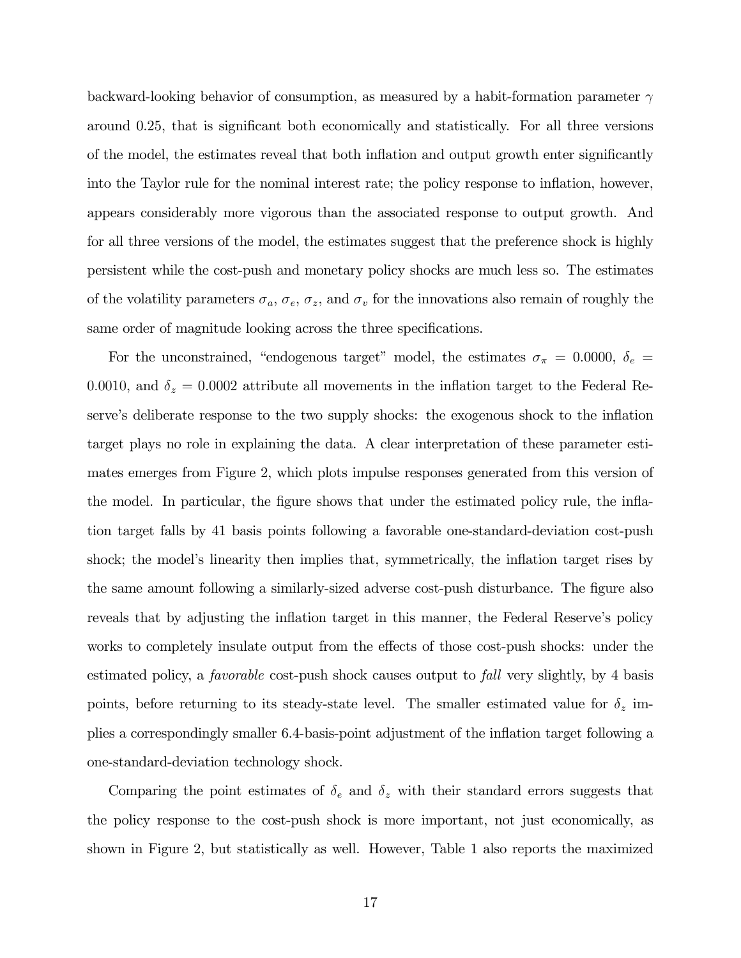backward-looking behavior of consumption, as measured by a habit-formation parameter  $\gamma$ around 0.25, that is significant both economically and statistically. For all three versions of the model, the estimates reveal that both inflation and output growth enter significantly into the Taylor rule for the nominal interest rate; the policy response to inflation, however, appears considerably more vigorous than the associated response to output growth. And for all three versions of the model, the estimates suggest that the preference shock is highly persistent while the cost-push and monetary policy shocks are much less so. The estimates of the volatility parameters  $\sigma_a$ ,  $\sigma_e$ ,  $\sigma_z$ , and  $\sigma_v$  for the innovations also remain of roughly the same order of magnitude looking across the three specifications.

For the unconstrained, "endogenous target" model, the estimates  $\sigma_{\pi} = 0.0000, \delta_e =$ 0.0010, and  $\delta_z = 0.0002$  attribute all movements in the inflation target to the Federal Reserve's deliberate response to the two supply shocks: the exogenous shock to the inflation target plays no role in explaining the data. A clear interpretation of these parameter estimates emerges from Figure 2, which plots impulse responses generated from this version of the model. In particular, the figure shows that under the estimated policy rule, the inflation target falls by 41 basis points following a favorable one-standard-deviation cost-push shock; the model's linearity then implies that, symmetrically, the inflation target rises by the same amount following a similarly-sized adverse cost-push disturbance. The figure also reveals that by adjusting the inflation target in this manner, the Federal Reserve's policy works to completely insulate output from the effects of those cost-push shocks: under the estimated policy, a favorable cost-push shock causes output to fall very slightly, by 4 basis points, before returning to its steady-state level. The smaller estimated value for  $\delta_z$  implies a correspondingly smaller 6.4-basis-point adjustment of the inflation target following a one-standard-deviation technology shock.

Comparing the point estimates of  $\delta_e$  and  $\delta_z$  with their standard errors suggests that the policy response to the cost-push shock is more important, not just economically, as shown in Figure 2, but statistically as well. However, Table 1 also reports the maximized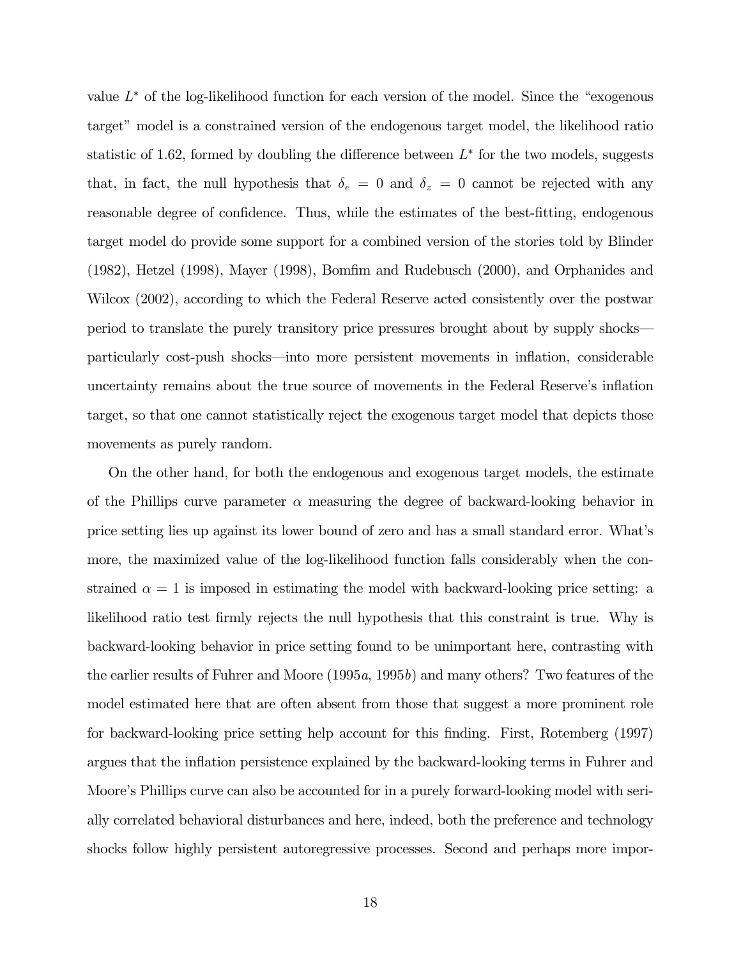value  $L^*$  of the log-likelihood function for each version of the model. Since the "exogenous" target" model is a constrained version of the endogenous target model, the likelihood ratio statistic of 1.62, formed by doubling the difference between  $L^*$  for the two models, suggests that, in fact, the null hypothesis that  $\delta_e = 0$  and  $\delta_z = 0$  cannot be rejected with any reasonable degree of confidence. Thus, while the estimates of the best-fitting, endogenous target model do provide some support for a combined version of the stories told by Blinder (1982), Hetzel (1998), Mayer (1998), Bomfim and Rudebusch (2000), and Orphanides and Wilcox (2002), according to which the Federal Reserve acted consistently over the postwar period to translate the purely transitory price pressures brought about by supply shocks– particularly cost-push shocks–into more persistent movements in inflation, considerable uncertainty remains about the true source of movements in the Federal Reserve's inflation target, so that one cannot statistically reject the exogenous target model that depicts those movements as purely random.

On the other hand, for both the endogenous and exogenous target models, the estimate of the Phillips curve parameter  $\alpha$  measuring the degree of backward-looking behavior in price setting lies up against its lower bound of zero and has a small standard error. What's more, the maximized value of the log-likelihood function falls considerably when the constrained  $\alpha = 1$  is imposed in estimating the model with backward-looking price setting: a likelihood ratio test firmly rejects the null hypothesis that this constraint is true. Why is backward-looking behavior in price setting found to be unimportant here, contrasting with the earlier results of Fuhrer and Moore (1995a, 1995b) and many others? Two features of the model estimated here that are often absent from those that suggest a more prominent role for backward-looking price setting help account for this finding. First, Rotemberg (1997) argues that the inflation persistence explained by the backward-looking terms in Fuhrer and Moore's Phillips curve can also be accounted for in a purely forward-looking model with serially correlated behavioral disturbances and here, indeed, both the preference and technology shocks follow highly persistent autoregressive processes. Second and perhaps more impor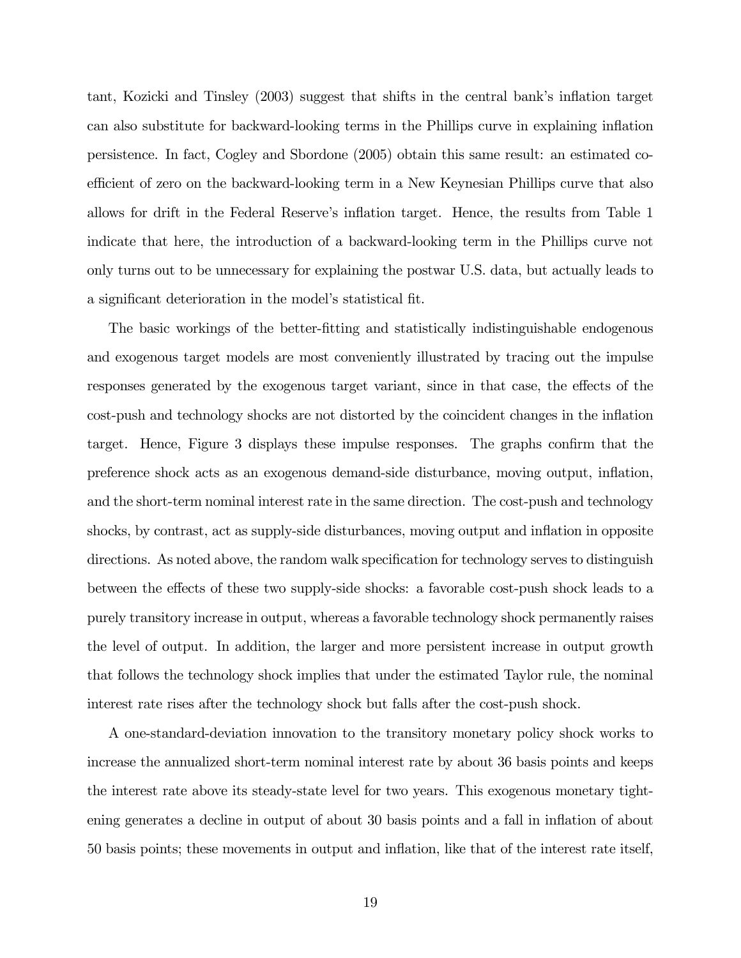tant, Kozicki and Tinsley (2003) suggest that shifts in the central bank's inflation target can also substitute for backward-looking terms in the Phillips curve in explaining inflation persistence. In fact, Cogley and Sbordone (2005) obtain this same result: an estimated coefficient of zero on the backward-looking term in a New Keynesian Phillips curve that also allows for drift in the Federal Reserve's inflation target. Hence, the results from Table 1 indicate that here, the introduction of a backward-looking term in the Phillips curve not only turns out to be unnecessary for explaining the postwar U.S. data, but actually leads to a significant deterioration in the model's statistical fit.

The basic workings of the better-fitting and statistically indistinguishable endogenous and exogenous target models are most conveniently illustrated by tracing out the impulse responses generated by the exogenous target variant, since in that case, the effects of the cost-push and technology shocks are not distorted by the coincident changes in the inflation target. Hence, Figure 3 displays these impulse responses. The graphs confirm that the preference shock acts as an exogenous demand-side disturbance, moving output, inflation, and the short-term nominal interest rate in the same direction. The cost-push and technology shocks, by contrast, act as supply-side disturbances, moving output and inflation in opposite directions. As noted above, the random walk specification for technology serves to distinguish between the effects of these two supply-side shocks: a favorable cost-push shock leads to a purely transitory increase in output, whereas a favorable technology shock permanently raises the level of output. In addition, the larger and more persistent increase in output growth that follows the technology shock implies that under the estimated Taylor rule, the nominal interest rate rises after the technology shock but falls after the cost-push shock.

A one-standard-deviation innovation to the transitory monetary policy shock works to increase the annualized short-term nominal interest rate by about 36 basis points and keeps the interest rate above its steady-state level for two years. This exogenous monetary tightening generates a decline in output of about 30 basis points and a fall in inflation of about 50 basis points; these movements in output and inflation, like that of the interest rate itself,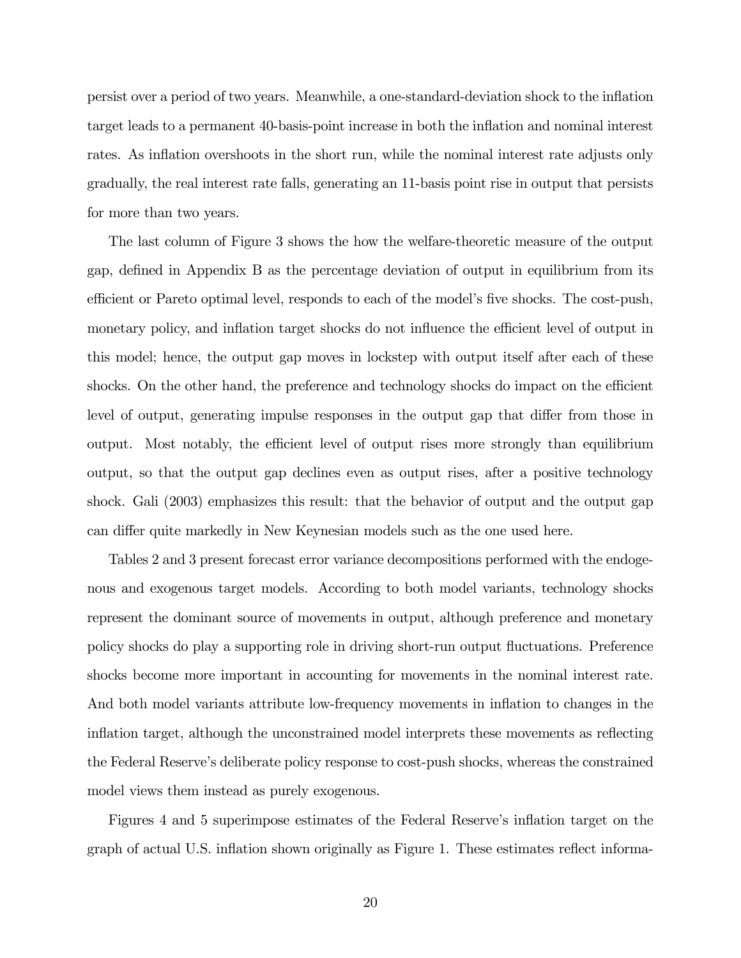persist over a period of two years. Meanwhile, a one-standard-deviation shock to the inflation target leads to a permanent 40-basis-point increase in both the inflation and nominal interest rates. As inflation overshoots in the short run, while the nominal interest rate adjusts only gradually, the real interest rate falls, generating an 11-basis point rise in output that persists for more than two years.

The last column of Figure 3 shows the how the welfare-theoretic measure of the output gap, defined in Appendix B as the percentage deviation of output in equilibrium from its efficient or Pareto optimal level, responds to each of the model's five shocks. The cost-push, monetary policy, and inflation target shocks do not influence the efficient level of output in this model; hence, the output gap moves in lockstep with output itself after each of these shocks. On the other hand, the preference and technology shocks do impact on the efficient level of output, generating impulse responses in the output gap that differ from those in output. Most notably, the efficient level of output rises more strongly than equilibrium output, so that the output gap declines even as output rises, after a positive technology shock. Gali (2003) emphasizes this result: that the behavior of output and the output gap can differ quite markedly in New Keynesian models such as the one used here.

Tables 2 and 3 present forecast error variance decompositions performed with the endogenous and exogenous target models. According to both model variants, technology shocks represent the dominant source of movements in output, although preference and monetary policy shocks do play a supporting role in driving short-run output fluctuations. Preference shocks become more important in accounting for movements in the nominal interest rate. And both model variants attribute low-frequency movements in inflation to changes in the inflation target, although the unconstrained model interprets these movements as reflecting the Federal Reserve's deliberate policy response to cost-push shocks, whereas the constrained model views them instead as purely exogenous.

Figures 4 and 5 superimpose estimates of the Federal Reserve's inflation target on the graph of actual U.S. inflation shown originally as Figure 1. These estimates reflect informa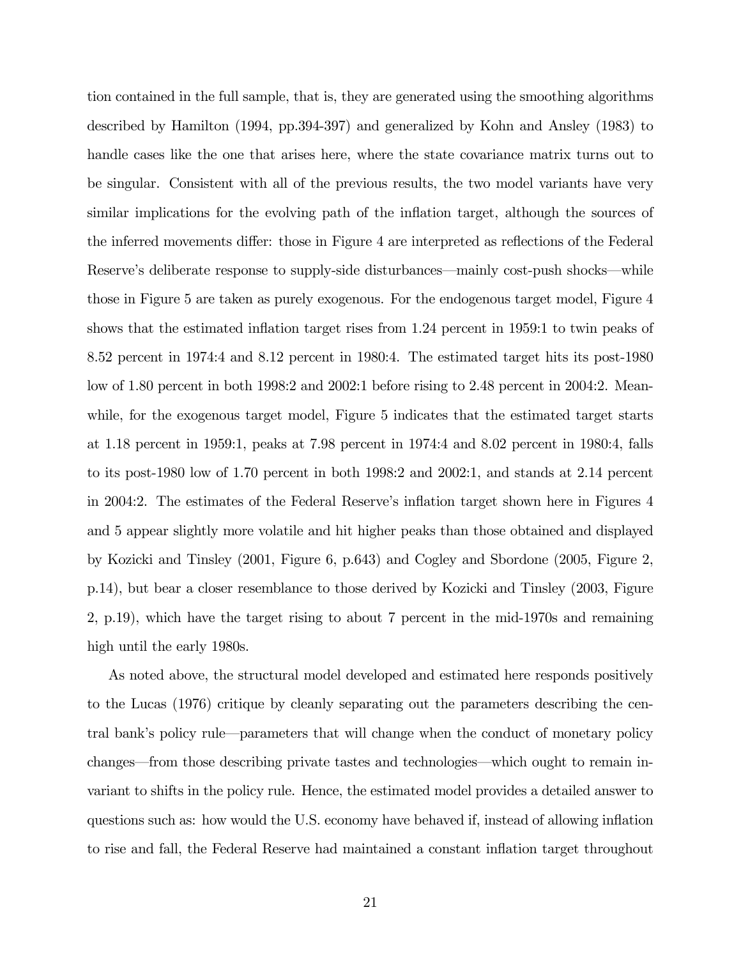tion contained in the full sample, that is, they are generated using the smoothing algorithms described by Hamilton (1994, pp.394-397) and generalized by Kohn and Ansley (1983) to handle cases like the one that arises here, where the state covariance matrix turns out to be singular. Consistent with all of the previous results, the two model variants have very similar implications for the evolving path of the inflation target, although the sources of the inferred movements differ: those in Figure 4 are interpreted as reflections of the Federal Reserve's deliberate response to supply-side disturbances–mainly cost-push shocks–while those in Figure 5 are taken as purely exogenous. For the endogenous target model, Figure 4 shows that the estimated inflation target rises from 1.24 percent in 1959:1 to twin peaks of 8.52 percent in 1974:4 and 8.12 percent in 1980:4. The estimated target hits its post-1980 low of 1.80 percent in both 1998:2 and 2002:1 before rising to 2.48 percent in 2004:2. Meanwhile, for the exogenous target model, Figure 5 indicates that the estimated target starts at 1.18 percent in 1959:1, peaks at 7.98 percent in 1974:4 and 8.02 percent in 1980:4, falls to its post-1980 low of 1.70 percent in both 1998:2 and 2002:1, and stands at 2.14 percent in 2004:2. The estimates of the Federal Reserve's inflation target shown here in Figures 4 and 5 appear slightly more volatile and hit higher peaks than those obtained and displayed by Kozicki and Tinsley (2001, Figure 6, p.643) and Cogley and Sbordone (2005, Figure 2, p.14), but bear a closer resemblance to those derived by Kozicki and Tinsley (2003, Figure 2, p.19), which have the target rising to about 7 percent in the mid-1970s and remaining high until the early 1980s.

As noted above, the structural model developed and estimated here responds positively to the Lucas (1976) critique by cleanly separating out the parameters describing the central bank's policy rule–parameters that will change when the conduct of monetary policy changes–from those describing private tastes and technologies–which ought to remain invariant to shifts in the policy rule. Hence, the estimated model provides a detailed answer to questions such as: how would the U.S. economy have behaved if, instead of allowing inflation to rise and fall, the Federal Reserve had maintained a constant inflation target throughout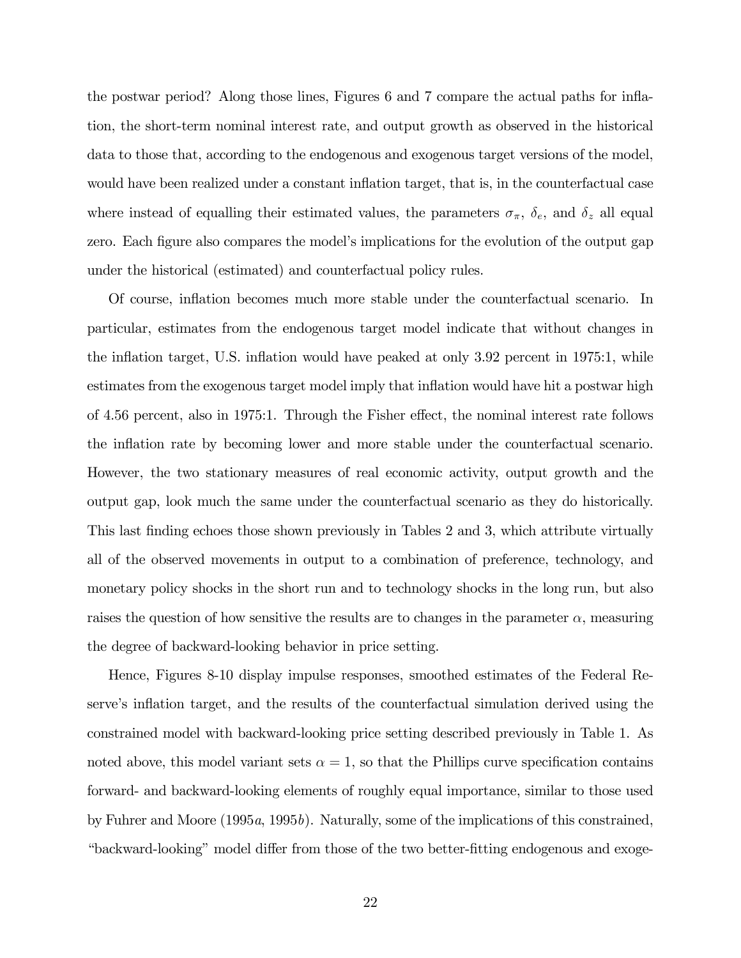the postwar period? Along those lines, Figures 6 and 7 compare the actual paths for inflation, the short-term nominal interest rate, and output growth as observed in the historical data to those that, according to the endogenous and exogenous target versions of the model, would have been realized under a constant inflation target, that is, in the counterfactual case where instead of equalling their estimated values, the parameters  $\sigma_{\pi}$ ,  $\delta_{e}$ , and  $\delta_{z}$  all equal zero. Each figure also compares the model's implications for the evolution of the output gap under the historical (estimated) and counterfactual policy rules.

Of course, inflation becomes much more stable under the counterfactual scenario. In particular, estimates from the endogenous target model indicate that without changes in the inflation target, U.S. inflation would have peaked at only 3.92 percent in 1975:1, while estimates from the exogenous target model imply that inflation would have hit a postwar high of 4.56 percent, also in 1975:1. Through the Fisher effect, the nominal interest rate follows the inflation rate by becoming lower and more stable under the counterfactual scenario. However, the two stationary measures of real economic activity, output growth and the output gap, look much the same under the counterfactual scenario as they do historically. This last finding echoes those shown previously in Tables 2 and 3, which attribute virtually all of the observed movements in output to a combination of preference, technology, and monetary policy shocks in the short run and to technology shocks in the long run, but also raises the question of how sensitive the results are to changes in the parameter  $\alpha$ , measuring the degree of backward-looking behavior in price setting.

Hence, Figures 8-10 display impulse responses, smoothed estimates of the Federal Reserve's inflation target, and the results of the counterfactual simulation derived using the constrained model with backward-looking price setting described previously in Table 1. As noted above, this model variant sets  $\alpha = 1$ , so that the Phillips curve specification contains forward- and backward-looking elements of roughly equal importance, similar to those used by Fuhrer and Moore  $(1995a, 1995b)$ . Naturally, some of the implications of this constrained, "backward-looking" model differ from those of the two better-fitting endogenous and exoge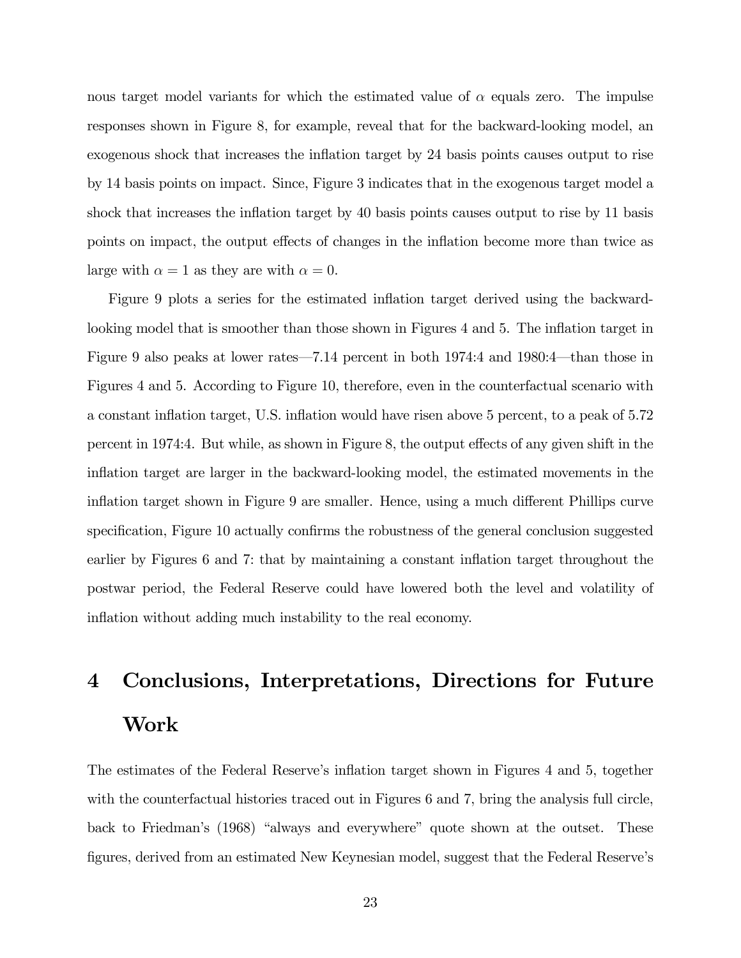nous target model variants for which the estimated value of  $\alpha$  equals zero. The impulse responses shown in Figure 8, for example, reveal that for the backward-looking model, an exogenous shock that increases the inflation target by 24 basis points causes output to rise by 14 basis points on impact. Since, Figure 3 indicates that in the exogenous target model a shock that increases the inflation target by 40 basis points causes output to rise by 11 basis points on impact, the output effects of changes in the inflation become more than twice as large with  $\alpha = 1$  as they are with  $\alpha = 0$ .

Figure 9 plots a series for the estimated inflation target derived using the backwardlooking model that is smoother than those shown in Figures 4 and 5. The inflation target in Figure 9 also peaks at lower rates–7.14 percent in both 1974:4 and 1980:4–than those in Figures 4 and 5. According to Figure 10, therefore, even in the counterfactual scenario with a constant inflation target, U.S. inflation would have risen above 5 percent, to a peak of 5.72 percent in 1974:4. But while, as shown in Figure 8, the output effects of any given shift in the inflation target are larger in the backward-looking model, the estimated movements in the inflation target shown in Figure 9 are smaller. Hence, using a much different Phillips curve specification, Figure 10 actually confirms the robustness of the general conclusion suggested earlier by Figures 6 and 7: that by maintaining a constant inflation target throughout the postwar period, the Federal Reserve could have lowered both the level and volatility of inflation without adding much instability to the real economy.

# 4 Conclusions, Interpretations, Directions for Future Work

The estimates of the Federal Reserve's inflation target shown in Figures 4 and 5, together with the counterfactual histories traced out in Figures 6 and 7, bring the analysis full circle, back to Friedman's (1968) "always and everywhere" quote shown at the outset. These figures, derived from an estimated New Keynesian model, suggest that the Federal Reserve's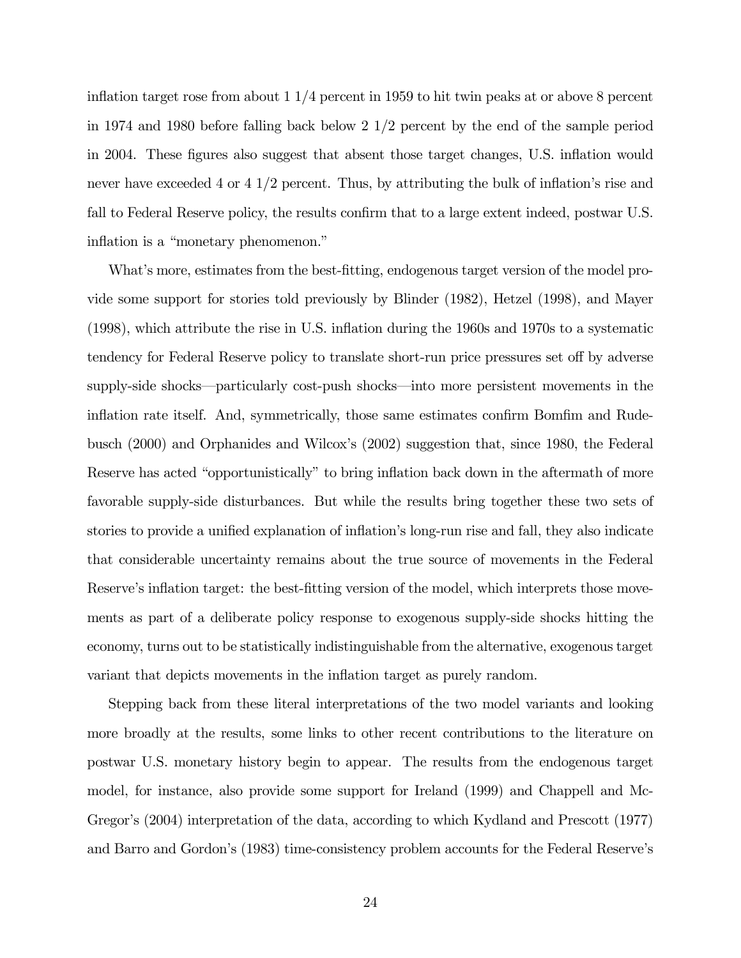inflation target rose from about 1 1/4 percent in 1959 to hit twin peaks at or above 8 percent in 1974 and 1980 before falling back below 2 1/2 percent by the end of the sample period in 2004. These figures also suggest that absent those target changes, U.S. inflation would never have exceeded 4 or 4 1/2 percent. Thus, by attributing the bulk of inflation's rise and fall to Federal Reserve policy, the results confirm that to a large extent indeed, postwar U.S. inflation is a "monetary phenomenon."

What's more, estimates from the best-fitting, endogenous target version of the model provide some support for stories told previously by Blinder (1982), Hetzel (1998), and Mayer (1998), which attribute the rise in U.S. inflation during the 1960s and 1970s to a systematic tendency for Federal Reserve policy to translate short-run price pressures set off by adverse supply-side shocks–particularly cost-push shocks–into more persistent movements in the inflation rate itself. And, symmetrically, those same estimates confirm Bomfim and Rudebusch (2000) and Orphanides and Wilcox's (2002) suggestion that, since 1980, the Federal Reserve has acted "opportunistically" to bring inflation back down in the aftermath of more favorable supply-side disturbances. But while the results bring together these two sets of stories to provide a unified explanation of inflation's long-run rise and fall, they also indicate that considerable uncertainty remains about the true source of movements in the Federal Reserve's inflation target: the best-fitting version of the model, which interprets those movements as part of a deliberate policy response to exogenous supply-side shocks hitting the economy, turns out to be statistically indistinguishable from the alternative, exogenous target variant that depicts movements in the inflation target as purely random.

Stepping back from these literal interpretations of the two model variants and looking more broadly at the results, some links to other recent contributions to the literature on postwar U.S. monetary history begin to appear. The results from the endogenous target model, for instance, also provide some support for Ireland (1999) and Chappell and Mc-Gregor's (2004) interpretation of the data, according to which Kydland and Prescott (1977) and Barro and Gordon's (1983) time-consistency problem accounts for the Federal Reserve's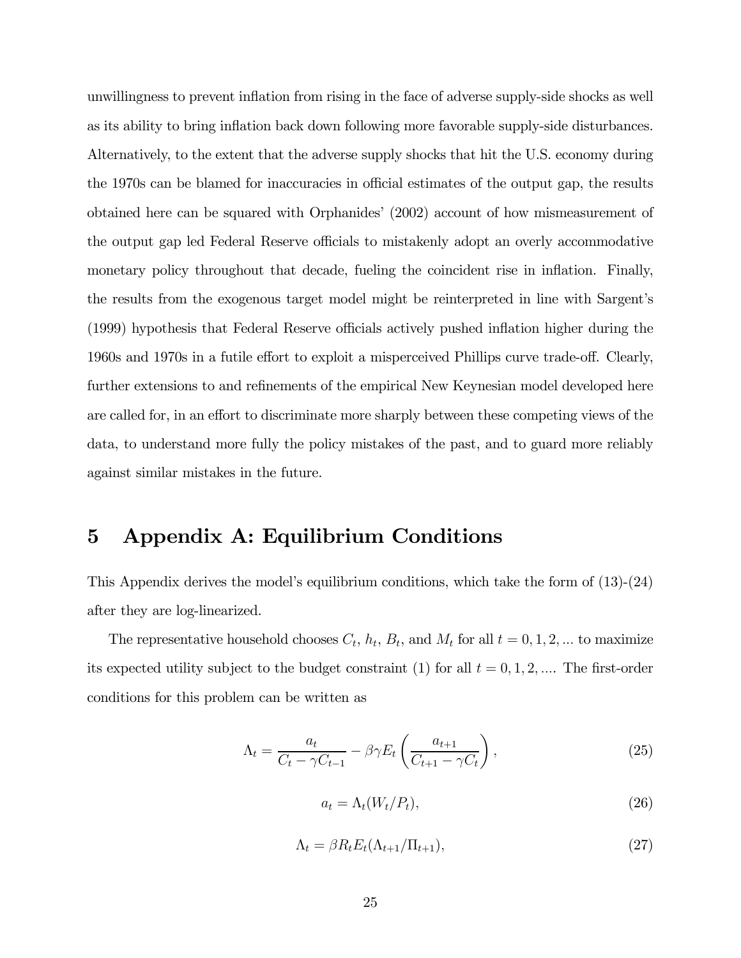unwillingness to prevent inflation from rising in the face of adverse supply-side shocks as well as its ability to bring inflation back down following more favorable supply-side disturbances. Alternatively, to the extent that the adverse supply shocks that hit the U.S. economy during the 1970s can be blamed for inaccuracies in official estimates of the output gap, the results obtained here can be squared with Orphanides' (2002) account of how mismeasurement of the output gap led Federal Reserve officials to mistakenly adopt an overly accommodative monetary policy throughout that decade, fueling the coincident rise in inflation. Finally, the results from the exogenous target model might be reinterpreted in line with Sargent's (1999) hypothesis that Federal Reserve officials actively pushed inflation higher during the 1960s and 1970s in a futile effort to exploit a misperceived Phillips curve trade-off. Clearly, further extensions to and refinements of the empirical New Keynesian model developed here are called for, in an effort to discriminate more sharply between these competing views of the data, to understand more fully the policy mistakes of the past, and to guard more reliably against similar mistakes in the future.

## 5 Appendix A: Equilibrium Conditions

This Appendix derives the model's equilibrium conditions, which take the form of (13)-(24) after they are log-linearized.

The representative household chooses  $C_t$ ,  $h_t$ ,  $B_t$ , and  $M_t$  for all  $t = 0, 1, 2, ...$  to maximize its expected utility subject to the budget constraint (1) for all  $t = 0, 1, 2, ...$  The first-order conditions for this problem can be written as

$$
\Lambda_t = \frac{a_t}{C_t - \gamma C_{t-1}} - \beta \gamma E_t \left( \frac{a_{t+1}}{C_{t+1} - \gamma C_t} \right),\tag{25}
$$

$$
a_t = \Lambda_t(W_t/P_t),\tag{26}
$$

$$
\Lambda_t = \beta R_t E_t (\Lambda_{t+1}/\Pi_{t+1}),\tag{27}
$$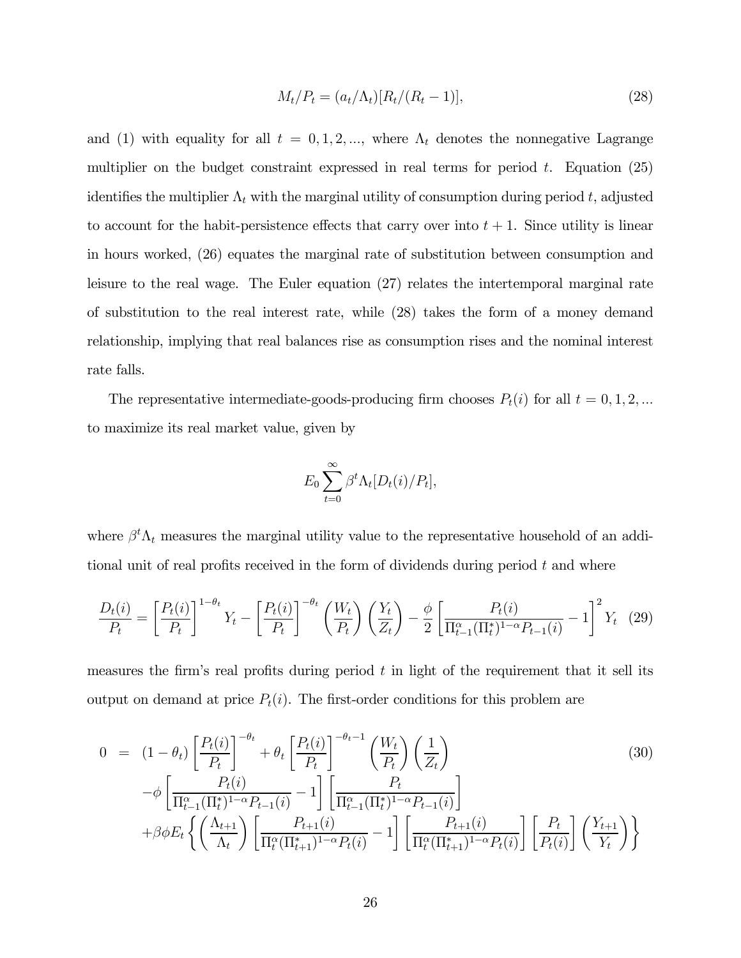$$
M_t/P_t = (a_t/\Lambda_t)[R_t/(R_t - 1)],
$$
\n(28)

and (1) with equality for all  $t = 0, 1, 2, \dots$ , where  $\Lambda_t$  denotes the nonnegative Lagrange multiplier on the budget constraint expressed in real terms for period  $t$ . Equation (25) identifies the multiplier  $\Lambda_t$  with the marginal utility of consumption during period t, adjusted to account for the habit-persistence effects that carry over into  $t + 1$ . Since utility is linear in hours worked, (26) equates the marginal rate of substitution between consumption and leisure to the real wage. The Euler equation (27) relates the intertemporal marginal rate of substitution to the real interest rate, while (28) takes the form of a money demand relationship, implying that real balances rise as consumption rises and the nominal interest rate falls.

The representative intermediate-goods-producing firm chooses  $P_t(i)$  for all  $t = 0, 1, 2, ...$ to maximize its real market value, given by

$$
E_0 \sum_{t=0}^{\infty} \beta^t \Lambda_t [D_t(i)/P_t],
$$

where  $\beta^t \Lambda_t$  measures the marginal utility value to the representative household of an additional unit of real profits received in the form of dividends during period  $t$  and where

$$
\frac{D_t(i)}{P_t} = \left[\frac{P_t(i)}{P_t}\right]^{1-\theta_t} Y_t - \left[\frac{P_t(i)}{P_t}\right]^{-\theta_t} \left(\frac{W_t}{P_t}\right) \left(\frac{Y_t}{Z_t}\right) - \frac{\phi}{2} \left[\frac{P_t(i)}{\Pi_{t-1}^{\alpha}(\Pi_t^*)^{1-\alpha} P_{t-1}(i)} - 1\right]^2 Y_t \tag{29}
$$

measures the firm's real profits during period  $t$  in light of the requirement that it sell its output on demand at price  $P_t(i)$ . The first-order conditions for this problem are

$$
0 = (1 - \theta_t) \left[ \frac{P_t(i)}{P_t} \right]^{-\theta_t} + \theta_t \left[ \frac{P_t(i)}{P_t} \right]^{-\theta_t - 1} \left( \frac{W_t}{P_t} \right) \left( \frac{1}{Z_t} \right)
$$
\n
$$
-\phi \left[ \frac{P_t(i)}{\Pi_{t-1}^{\alpha} (\Pi_t^*)^{1-\alpha} P_{t-1}(i)} - 1 \right] \left[ \frac{P_t}{\Pi_{t-1}^{\alpha} (\Pi_t^*)^{1-\alpha} P_{t-1}(i)} \right]
$$
\n
$$
+\beta \phi E_t \left\{ \left( \frac{\Lambda_{t+1}}{\Lambda_t} \right) \left[ \frac{P_{t+1}(i)}{\Pi_t^{\alpha} (\Pi_{t+1}^*)^{1-\alpha} P_t(i)} - 1 \right] \left[ \frac{P_{t+1}(i)}{\Pi_t^{\alpha} (\Pi_{t+1}^*)^{1-\alpha} P_t(i)} \right] \left[ \frac{P_t}{P_t(i)} \right] \left( \frac{Y_{t+1}}{Y_t} \right) \right\}
$$
\n(30)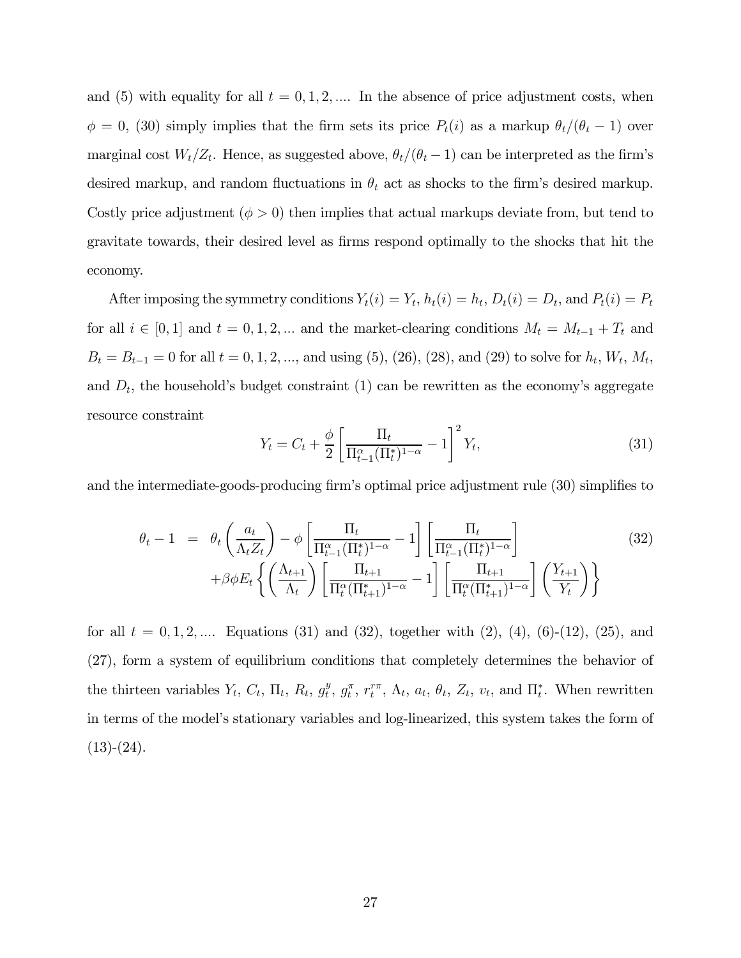and (5) with equality for all  $t = 0, 1, 2, \dots$  In the absence of price adjustment costs, when  $\phi = 0$ , (30) simply implies that the firm sets its price  $P_t(i)$  as a markup  $\theta_t/(\theta_t - 1)$  over marginal cost  $W_t/Z_t$ . Hence, as suggested above,  $\theta_t/(\theta_t - 1)$  can be interpreted as the firm's desired markup, and random fluctuations in  $\theta_t$  act as shocks to the firm's desired markup. Costly price adjustment  $(\phi > 0)$  then implies that actual markups deviate from, but tend to gravitate towards, their desired level as firms respond optimally to the shocks that hit the economy.

After imposing the symmetry conditions  $Y_t(i) = Y_t$ ,  $h_t(i) = h_t$ ,  $D_t(i) = D_t$ , and  $P_t(i) = P_t$ for all  $i \in [0, 1]$  and  $t = 0, 1, 2, ...$  and the market-clearing conditions  $M_t = M_{t-1} + T_t$  and  $B_t = B_{t-1} = 0$  for all  $t = 0, 1, 2, ...,$  and using (5), (26), (28), and (29) to solve for  $h_t$ ,  $W_t$ ,  $M_t$ , and  $D_t$ , the household's budget constraint (1) can be rewritten as the economy's aggregate resource constraint

$$
Y_t = C_t + \frac{\phi}{2} \left[ \frac{\Pi_t}{\Pi_{t-1}^{\alpha} (\Pi_t^*)^{1-\alpha}} - 1 \right]^2 Y_t,
$$
\n(31)

and the intermediate-goods-producing firm's optimal price adjustment rule (30) simplifies to

$$
\theta_t - 1 = \theta_t \left( \frac{a_t}{\Lambda_t Z_t} \right) - \phi \left[ \frac{\Pi_t}{\Pi_{t-1}^{\alpha} (\Pi_t^*)^{1-\alpha}} - 1 \right] \left[ \frac{\Pi_t}{\Pi_{t-1}^{\alpha} (\Pi_t^*)^{1-\alpha}} \right] \tag{32}
$$
\n
$$
+ \beta \phi E_t \left\{ \left( \frac{\Lambda_{t+1}}{\Lambda_t} \right) \left[ \frac{\Pi_{t+1}}{\Pi_t^{\alpha} (\Pi_{t+1}^*)^{1-\alpha}} - 1 \right] \left[ \frac{\Pi_{t+1}}{\Pi_t^{\alpha} (\Pi_{t+1}^*)^{1-\alpha}} \right] \left( \frac{Y_{t+1}}{Y_t} \right) \right\}
$$

for all  $t = 0, 1, 2, \dots$  Equations (31) and (32), together with (2), (4), (6)-(12), (25), and (27), form a system of equilibrium conditions that completely determines the behavior of the thirteen variables  $Y_t$ ,  $C_t$ ,  $\Pi_t$ ,  $R_t$ ,  $g_t^y$ ,  $g_t^{\pi}$ ,  $r_t^{\tau\pi}$ ,  $\Lambda_t$ ,  $a_t$ ,  $\theta_t$ ,  $Z_t$ ,  $v_t$ , and  $\Pi_t^*$ . When rewritten in terms of the model's stationary variables and log-linearized, this system takes the form of  $(13)-(24)$ .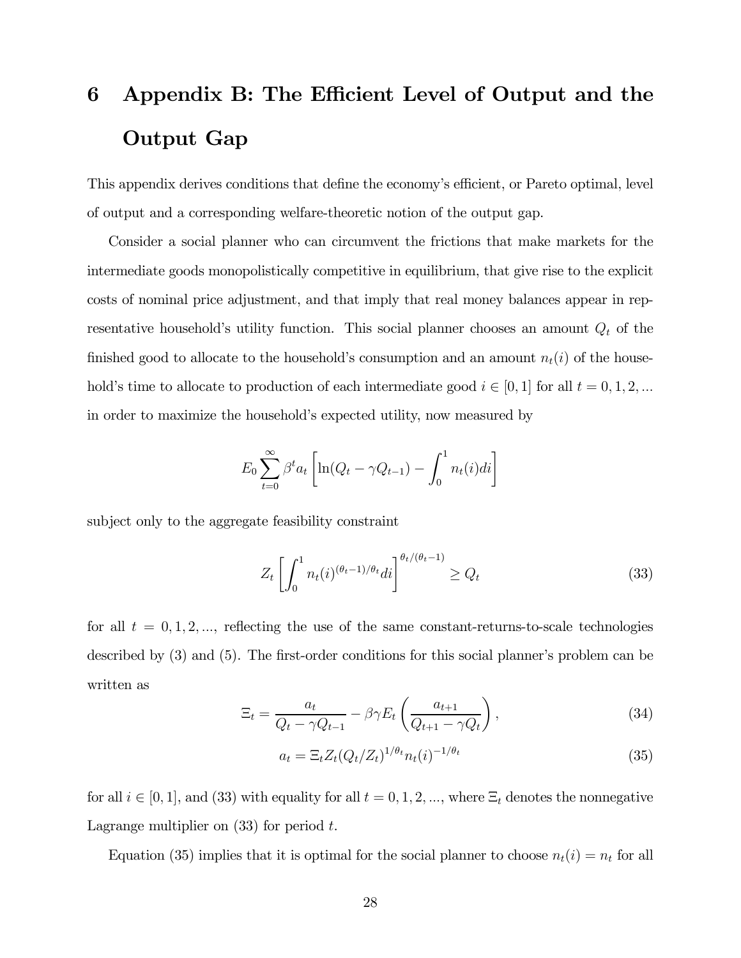# 6 Appendix B: The Efficient Level of Output and the Output Gap

This appendix derives conditions that define the economy's efficient, or Pareto optimal, level of output and a corresponding welfare-theoretic notion of the output gap.

Consider a social planner who can circumvent the frictions that make markets for the intermediate goods monopolistically competitive in equilibrium, that give rise to the explicit costs of nominal price adjustment, and that imply that real money balances appear in representative household's utility function. This social planner chooses an amount  $Q_t$  of the finished good to allocate to the household's consumption and an amount  $n_t(i)$  of the household's time to allocate to production of each intermediate good  $i \in [0, 1]$  for all  $t = 0, 1, 2, ...$ in order to maximize the household's expected utility, now measured by

$$
E_0 \sum_{t=0}^{\infty} \beta^t a_t \left[ \ln(Q_t - \gamma Q_{t-1}) - \int_0^1 n_t(i) di \right]
$$

subject only to the aggregate feasibility constraint

$$
Z_t \left[ \int_0^1 n_t(i)^{(\theta_t - 1)/\theta_t} di \right]^{\theta_t/(\theta_t - 1)} \ge Q_t \tag{33}
$$

for all  $t = 0, 1, 2, \dots$ , reflecting the use of the same constant-returns-to-scale technologies described by (3) and (5). The first-order conditions for this social planner's problem can be written as

$$
\Xi_t = \frac{a_t}{Q_t - \gamma Q_{t-1}} - \beta \gamma E_t \left( \frac{a_{t+1}}{Q_{t+1} - \gamma Q_t} \right),\tag{34}
$$

$$
a_t = \Xi_t Z_t (Q_t / Z_t)^{1/\theta_t} n_t(i)^{-1/\theta_t}
$$
\n(35)

for all  $i \in [0, 1]$ , and (33) with equality for all  $t = 0, 1, 2, \dots$ , where  $\Xi_t$  denotes the nonnegative Lagrange multiplier on  $(33)$  for period t.

Equation (35) implies that it is optimal for the social planner to choose  $n_t(i) = n_t$  for all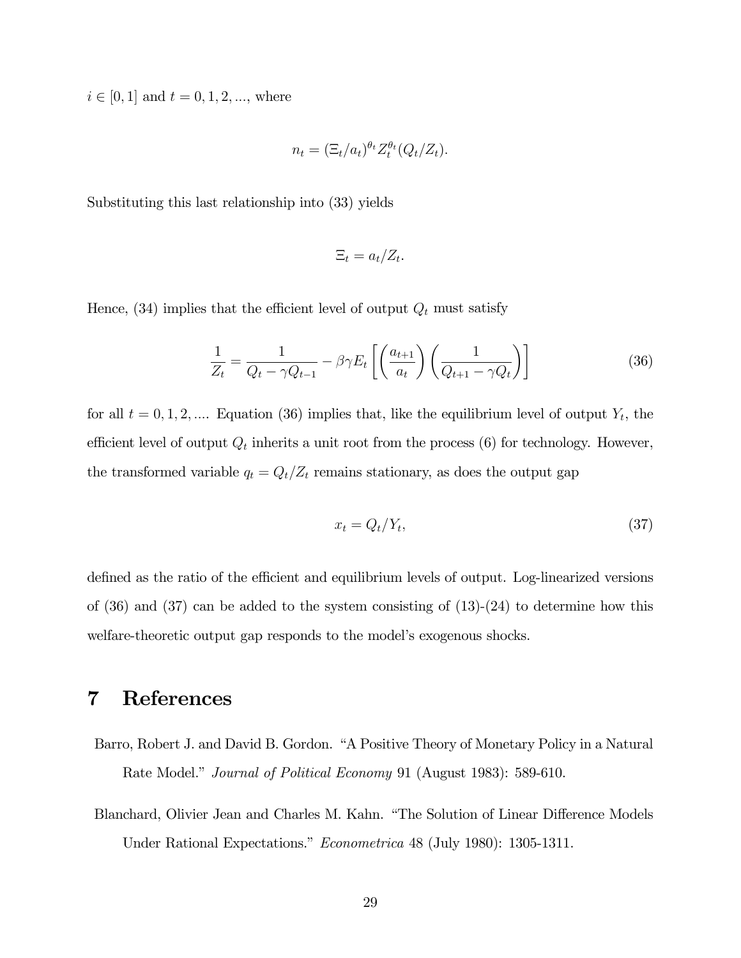$i \in [0, 1]$  and  $t = 0, 1, 2, ...,$  where

$$
n_t = (\Xi_t/a_t)^{\theta_t} Z_t^{\theta_t} (Q_t/Z_t).
$$

Substituting this last relationship into (33) yields

$$
\Xi_t = a_t/Z_t.
$$

Hence, (34) implies that the efficient level of output  $Q_t$  must satisfy

$$
\frac{1}{Z_t} = \frac{1}{Q_t - \gamma Q_{t-1}} - \beta \gamma E_t \left[ \left( \frac{a_{t+1}}{a_t} \right) \left( \frac{1}{Q_{t+1} - \gamma Q_t} \right) \right]
$$
(36)

for all  $t = 0, 1, 2, \dots$  Equation (36) implies that, like the equilibrium level of output  $Y_t$ , the efficient level of output  $Q_t$  inherits a unit root from the process (6) for technology. However, the transformed variable  $q_t = Q_t/Z_t$  remains stationary, as does the output gap

$$
x_t = Q_t/Y_t,\tag{37}
$$

defined as the ratio of the efficient and equilibrium levels of output. Log-linearized versions of  $(36)$  and  $(37)$  can be added to the system consisting of  $(13)-(24)$  to determine how this welfare-theoretic output gap responds to the model's exogenous shocks.

## 7 References

- Barro, Robert J. and David B. Gordon. "A Positive Theory of Monetary Policy in a Natural Rate Model." Journal of Political Economy 91 (August 1983): 589-610.
- Blanchard, Olivier Jean and Charles M. Kahn. "The Solution of Linear Difference Models Under Rational Expectations." Econometrica 48 (July 1980): 1305-1311.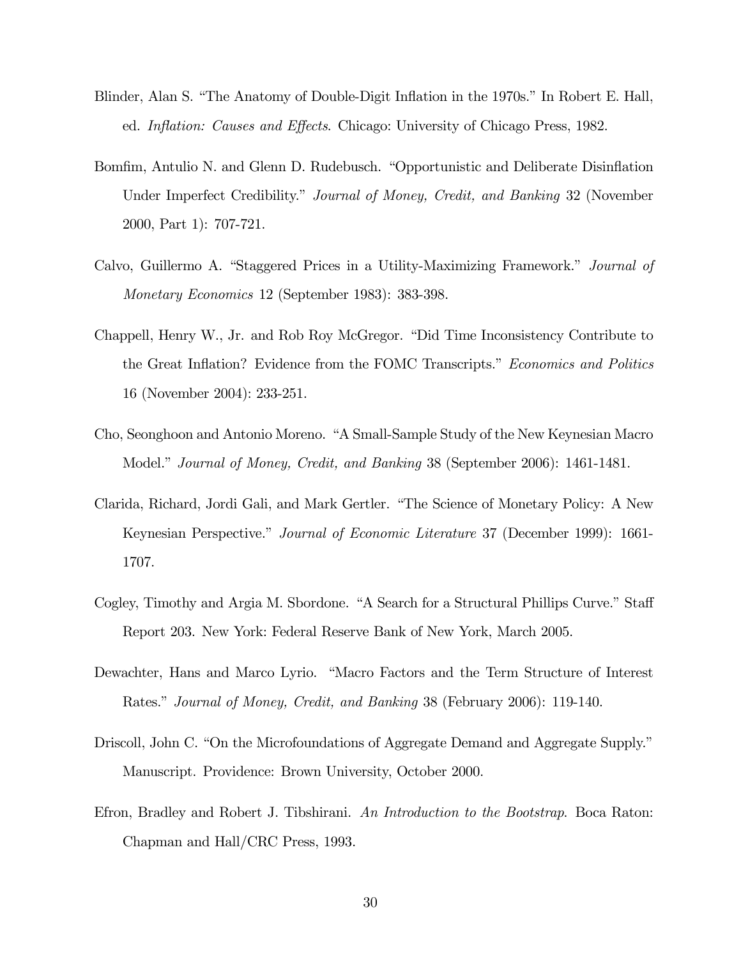- Blinder, Alan S. "The Anatomy of Double-Digit Inflation in the 1970s." In Robert E. Hall, ed. Inflation: Causes and Effects. Chicago: University of Chicago Press, 1982.
- Bomfim, Antulio N. and Glenn D. Rudebusch. "Opportunistic and Deliberate Disinflation Under Imperfect Credibility." *Journal of Money, Credit, and Banking* 32 (November 2000, Part 1): 707-721.
- Calvo, Guillermo A. "Staggered Prices in a Utility-Maximizing Framework." Journal of Monetary Economics 12 (September 1983): 383-398.
- Chappell, Henry W., Jr. and Rob Roy McGregor. "Did Time Inconsistency Contribute to the Great Inflation? Evidence from the FOMC Transcripts." Economics and Politics 16 (November 2004): 233-251.
- Cho, Seonghoon and Antonio Moreno. "A Small-Sample Study of the New Keynesian Macro Model." Journal of Money, Credit, and Banking 38 (September 2006): 1461-1481.
- Clarida, Richard, Jordi Gali, and Mark Gertler. "The Science of Monetary Policy: A New Keynesian Perspective." Journal of Economic Literature 37 (December 1999): 1661- 1707.
- Cogley, Timothy and Argia M. Sbordone. "A Search for a Structural Phillips Curve." Staff Report 203. New York: Federal Reserve Bank of New York, March 2005.
- Dewachter, Hans and Marco Lyrio. "Macro Factors and the Term Structure of Interest Rates." Journal of Money, Credit, and Banking 38 (February 2006): 119-140.
- Driscoll, John C. "On the Microfoundations of Aggregate Demand and Aggregate Supply." Manuscript. Providence: Brown University, October 2000.
- Efron, Bradley and Robert J. Tibshirani. An Introduction to the Bootstrap. Boca Raton: Chapman and Hall/CRC Press, 1993.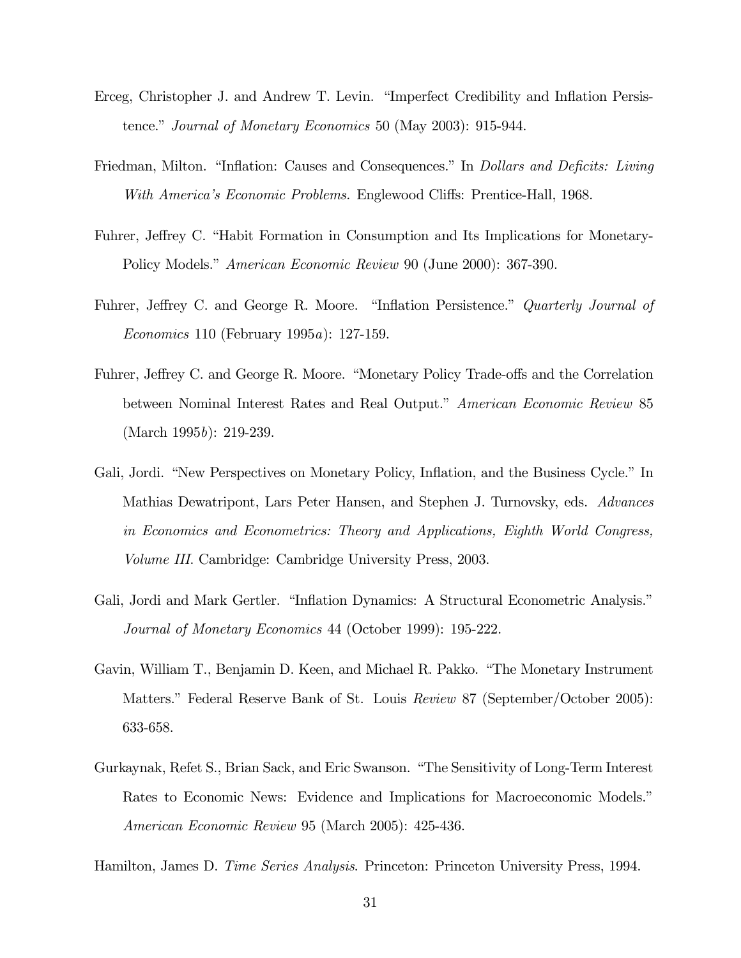- Erceg, Christopher J. and Andrew T. Levin. "Imperfect Credibility and Inflation Persistence." Journal of Monetary Economics 50 (May 2003): 915-944.
- Friedman, Milton. "Inflation: Causes and Consequences." In *Dollars and Deficits: Living* With America's Economic Problems. Englewood Cliffs: Prentice-Hall, 1968.
- Fuhrer, Jeffrey C. "Habit Formation in Consumption and Its Implications for Monetary-Policy Models." American Economic Review 90 (June 2000): 367-390.
- Fuhrer, Jeffrey C. and George R. Moore. "Inflation Persistence." Quarterly Journal of Economics 110 (February 1995a): 127-159.
- Fuhrer, Jeffrey C. and George R. Moore. "Monetary Policy Trade-offs and the Correlation between Nominal Interest Rates and Real Output." American Economic Review 85 (March 1995b): 219-239.
- Gali, Jordi. "New Perspectives on Monetary Policy, Inflation, and the Business Cycle." In Mathias Dewatripont, Lars Peter Hansen, and Stephen J. Turnovsky, eds. Advances in Economics and Econometrics: Theory and Applications, Eighth World Congress, Volume III. Cambridge: Cambridge University Press, 2003.
- Gali, Jordi and Mark Gertler. "Inflation Dynamics: A Structural Econometric Analysis." Journal of Monetary Economics 44 (October 1999): 195-222.
- Gavin, William T., Benjamin D. Keen, and Michael R. Pakko. "The Monetary Instrument Matters." Federal Reserve Bank of St. Louis Review 87 (September/October 2005): 633-658.
- Gurkaynak, Refet S., Brian Sack, and Eric Swanson. "The Sensitivity of Long-Term Interest Rates to Economic News: Evidence and Implications for Macroeconomic Models." American Economic Review 95 (March 2005): 425-436.

Hamilton, James D. Time Series Analysis. Princeton: Princeton University Press, 1994.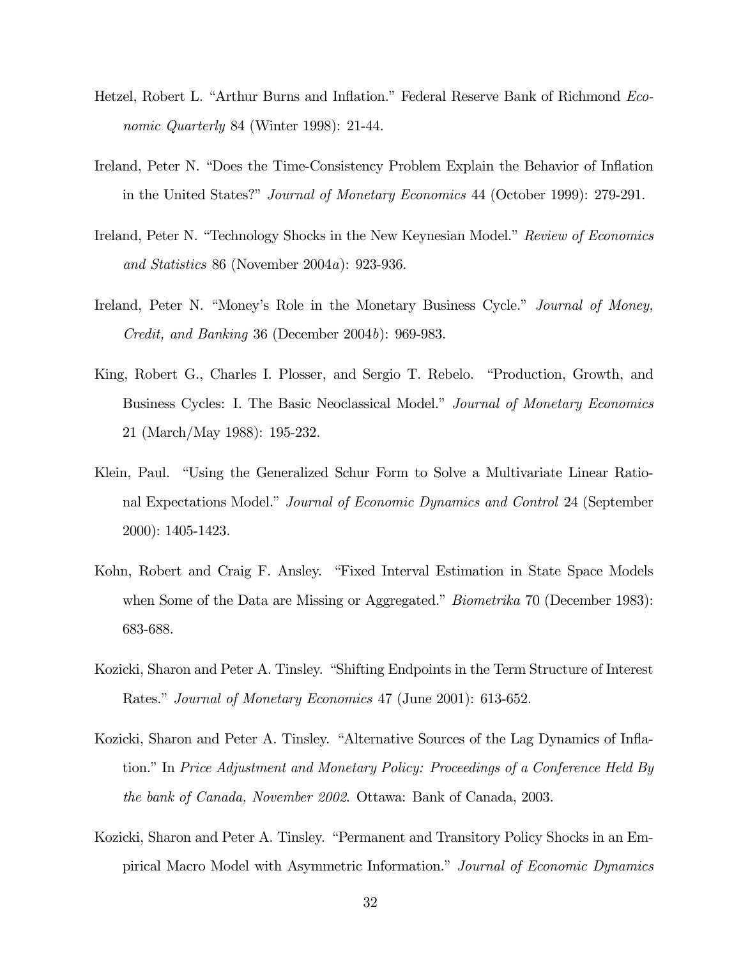- Hetzel, Robert L. "Arthur Burns and Inflation." Federal Reserve Bank of Richmond Economic Quarterly 84 (Winter 1998): 21-44.
- Ireland, Peter N. "Does the Time-Consistency Problem Explain the Behavior of Inflation in the United States?" Journal of Monetary Economics 44 (October 1999): 279-291.
- Ireland, Peter N. "Technology Shocks in the New Keynesian Model." Review of Economics and Statistics 86 (November 2004a): 923-936.
- Ireland, Peter N. "Money's Role in the Monetary Business Cycle." Journal of Money, Credit, and Banking 36 (December 2004b): 969-983.
- King, Robert G., Charles I. Plosser, and Sergio T. Rebelo. "Production, Growth, and Business Cycles: I. The Basic Neoclassical Model." Journal of Monetary Economics 21 (March/May 1988): 195-232.
- Klein, Paul. "Using the Generalized Schur Form to Solve a Multivariate Linear Rational Expectations Model." Journal of Economic Dynamics and Control 24 (September 2000): 1405-1423.
- Kohn, Robert and Craig F. Ansley. "Fixed Interval Estimation in State Space Models when Some of the Data are Missing or Aggregated." *Biometrika* 70 (December 1983): 683-688.
- Kozicki, Sharon and Peter A. Tinsley. "Shifting Endpoints in the Term Structure of Interest Rates." Journal of Monetary Economics 47 (June 2001): 613-652.
- Kozicki, Sharon and Peter A. Tinsley. "Alternative Sources of the Lag Dynamics of Inflation." In Price Adjustment and Monetary Policy: Proceedings of a Conference Held By the bank of Canada, November 2002. Ottawa: Bank of Canada, 2003.
- Kozicki, Sharon and Peter A. Tinsley. "Permanent and Transitory Policy Shocks in an Empirical Macro Model with Asymmetric Information." Journal of Economic Dynamics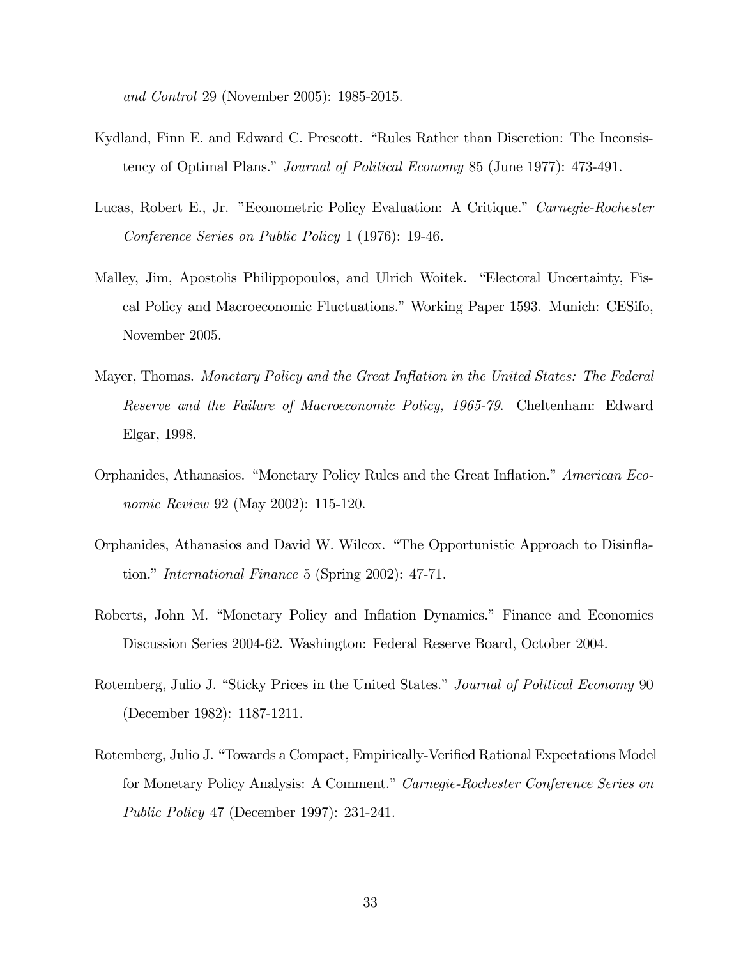and Control 29 (November 2005): 1985-2015.

- Kydland, Finn E. and Edward C. Prescott. "Rules Rather than Discretion: The Inconsistency of Optimal Plans." Journal of Political Economy 85 (June 1977): 473-491.
- Lucas, Robert E., Jr. "Econometric Policy Evaluation: A Critique." Carnegie-Rochester Conference Series on Public Policy 1 (1976): 19-46.
- Malley, Jim, Apostolis Philippopoulos, and Ulrich Woitek. "Electoral Uncertainty, Fiscal Policy and Macroeconomic Fluctuations." Working Paper 1593. Munich: CESifo, November 2005.
- Mayer, Thomas. Monetary Policy and the Great Inflation in the United States: The Federal Reserve and the Failure of Macroeconomic Policy, 1965-79. Cheltenham: Edward Elgar, 1998.
- Orphanides, Athanasios. "Monetary Policy Rules and the Great Inflation." American Economic Review 92 (May 2002): 115-120.
- Orphanides, Athanasios and David W. Wilcox. "The Opportunistic Approach to Disinflation." International Finance 5 (Spring 2002): 47-71.
- Roberts, John M. "Monetary Policy and Inflation Dynamics." Finance and Economics Discussion Series 2004-62. Washington: Federal Reserve Board, October 2004.
- Rotemberg, Julio J. "Sticky Prices in the United States." Journal of Political Economy 90 (December 1982): 1187-1211.
- Rotemberg, Julio J. "Towards a Compact, Empirically-Verified Rational Expectations Model for Monetary Policy Analysis: A Comment." Carnegie-Rochester Conference Series on Public Policy 47 (December 1997): 231-241.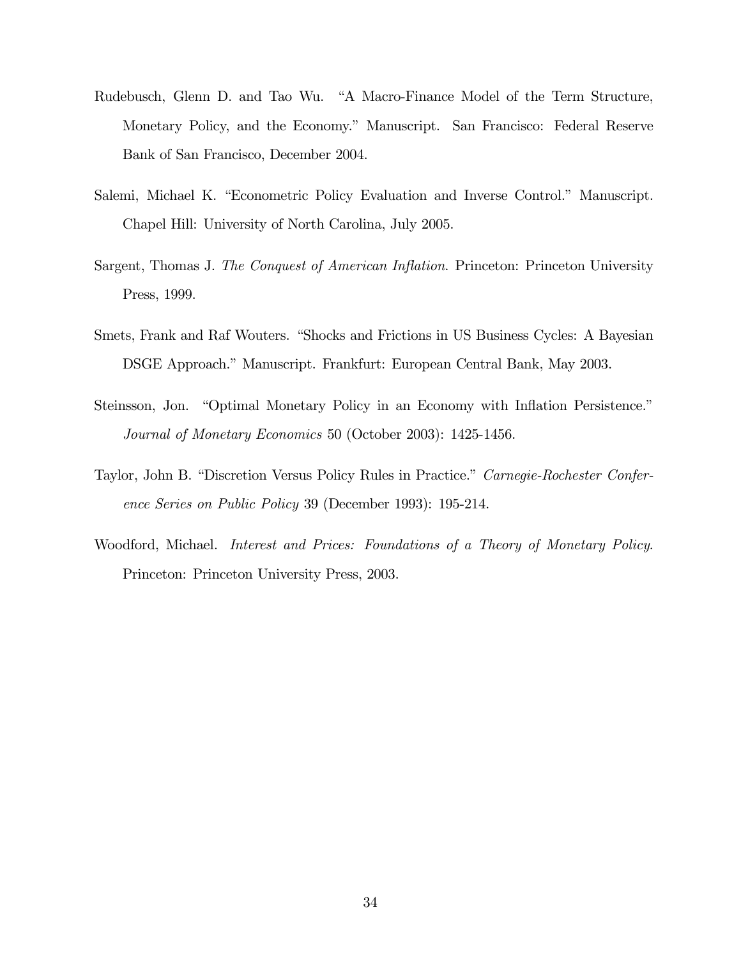- Rudebusch, Glenn D. and Tao Wu. "A Macro-Finance Model of the Term Structure, Monetary Policy, and the Economy." Manuscript. San Francisco: Federal Reserve Bank of San Francisco, December 2004.
- Salemi, Michael K. "Econometric Policy Evaluation and Inverse Control." Manuscript. Chapel Hill: University of North Carolina, July 2005.
- Sargent, Thomas J. The Conquest of American Inflation. Princeton: Princeton University Press, 1999.
- Smets, Frank and Raf Wouters. "Shocks and Frictions in US Business Cycles: A Bayesian DSGE Approach." Manuscript. Frankfurt: European Central Bank, May 2003.
- Steinsson, Jon. "Optimal Monetary Policy in an Economy with Inflation Persistence." Journal of Monetary Economics 50 (October 2003): 1425-1456.
- Taylor, John B. "Discretion Versus Policy Rules in Practice." Carnegie-Rochester Conference Series on Public Policy 39 (December 1993): 195-214.
- Woodford, Michael. Interest and Prices: Foundations of a Theory of Monetary Policy. Princeton: Princeton University Press, 2003.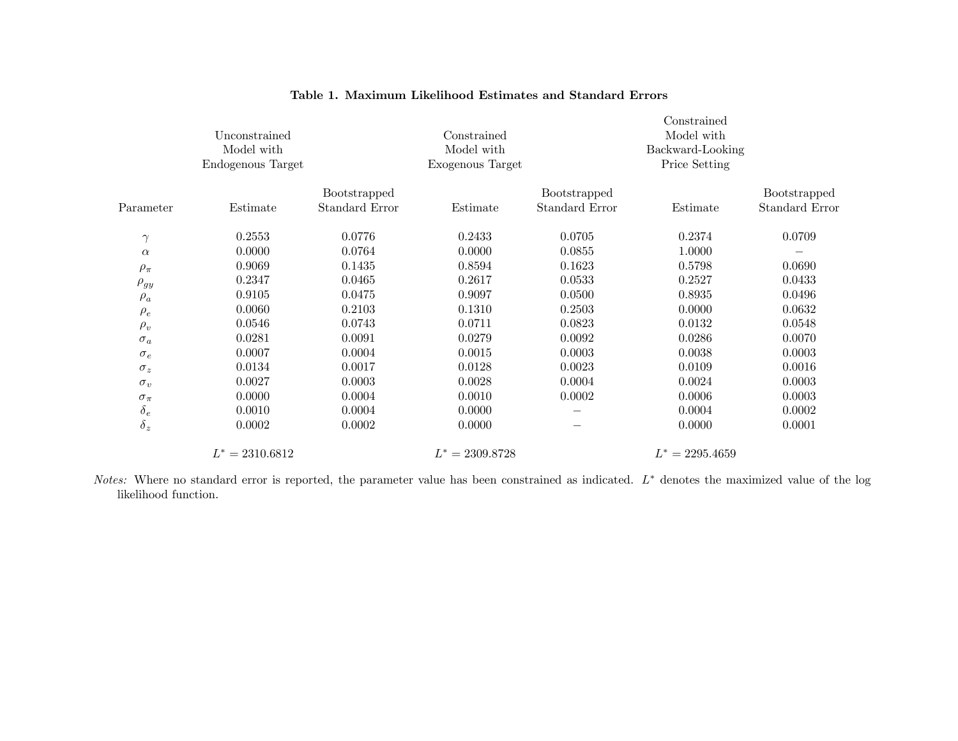| Unconstrained<br>Model with<br>Endogenous Target |                   |                                | Constrained<br>Model with<br>Exogenous Target |                                 | Constrained<br>Model with<br>Backward-Looking<br>Price Setting |                                       |  |
|--------------------------------------------------|-------------------|--------------------------------|-----------------------------------------------|---------------------------------|----------------------------------------------------------------|---------------------------------------|--|
| Parameter                                        | Estimate          | Bootstrapped<br>Standard Error | Estimate                                      | Bootstrapped<br>Standard Error  | Estimate                                                       | Bootstrapped<br><b>Standard Error</b> |  |
| $\gamma$                                         | 0.2553            | 0.0776                         | 0.2433                                        | 0.0705                          | 0.2374                                                         | 0.0709                                |  |
| $\alpha$                                         | 0.0000            | 0.0764                         | 0.0000                                        | 0.0855                          | 1.0000                                                         |                                       |  |
| $\rho_\pi$                                       | 0.9069            | 0.1435                         | 0.8594                                        | 0.1623                          | 0.5798                                                         | 0.0690                                |  |
| $\rho_{gy}$                                      | 0.2347            | 0.0465                         | 0.2617                                        | 0.0533                          | 0.2527                                                         | 0.0433                                |  |
| $\rho_a$                                         | 0.9105            | 0.0475                         | 0.9097                                        | 0.0500                          | 0.8935                                                         | 0.0496                                |  |
| $\rho_e$                                         | 0.0060            | 0.2103                         | 0.1310                                        | 0.2503                          | 0.0000                                                         | 0.0632                                |  |
| $\rho_v$                                         | 0.0546            | 0.0743                         | 0.0711                                        | 0.0823                          | 0.0132                                                         | 0.0548                                |  |
| $\sigma_a$                                       | 0.0281            | 0.0091                         | 0.0279                                        | 0.0092                          | 0.0286                                                         | 0.0070                                |  |
| $\sigma_e$                                       | 0.0007            | 0.0004                         | 0.0015                                        | 0.0003                          | 0.0038                                                         | 0.0003                                |  |
| $\sigma_z$                                       | 0.0134            | 0.0017                         | 0.0128                                        | 0.0023                          | 0.0109                                                         | 0.0016                                |  |
| $\sigma_v$                                       | 0.0027            | 0.0003                         | 0.0028                                        | 0.0004                          | 0.0024                                                         | 0.0003                                |  |
| $\sigma_{\pi}$                                   | 0.0000            | 0.0004                         | 0.0010                                        | 0.0002                          | 0.0006                                                         | 0.0003                                |  |
| $\delta_e$                                       | 0.0010            | 0.0004                         | 0.0000                                        |                                 | 0.0004                                                         | 0.0002                                |  |
| $\delta_z$                                       | 0.0002            | 0.0002                         | 0.0000                                        | $\hspace{0.1mm}-\hspace{0.1mm}$ | 0.0000                                                         | 0.0001                                |  |
|                                                  | $L^* = 2310.6812$ |                                | $L^* = 2309.8728$                             |                                 | $L^* = 2295.4659$                                              |                                       |  |

#### Table 1. Maximum Likelihood Estimates and Standard Errors

Notes: Where no standard error is reported, the parameter value has been constrained as indicated. L<sup>\*</sup> denotes the maximized value of the log likelihood function.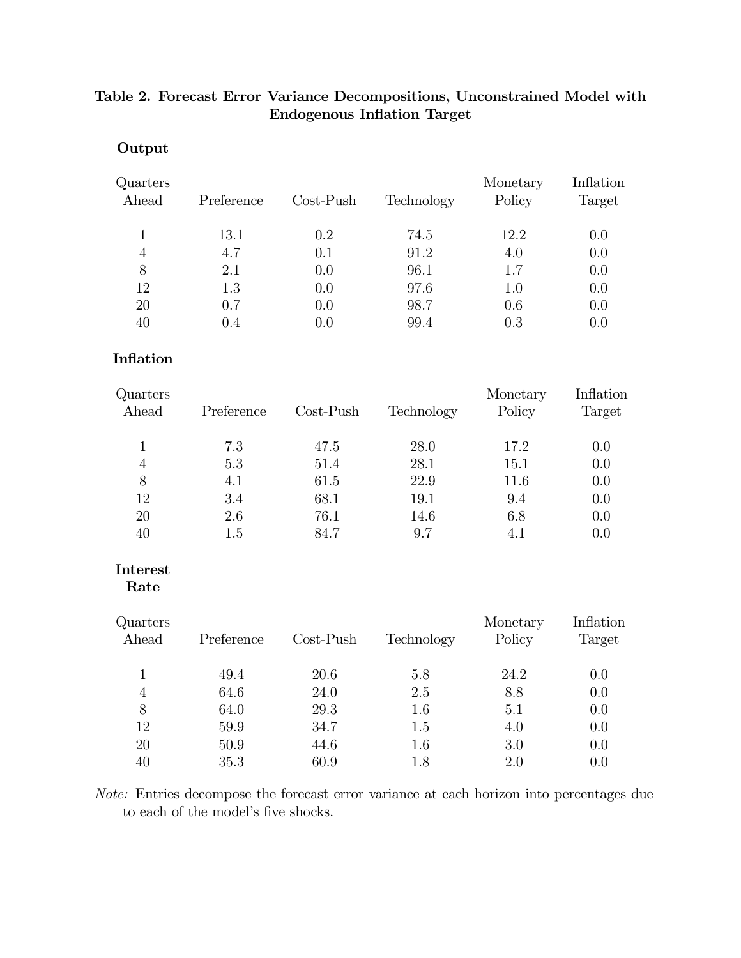| Quarters<br>Ahead | Preference | $Cost-Push$ | Technology | Monetary<br>Policy | Inflation<br>Target |
|-------------------|------------|-------------|------------|--------------------|---------------------|
| 1                 | 13.1       | 0.2         | 74.5       | 12.2               | 0.0                 |
| 4                 | 4.7        | 0.1         | 91.2       | 4.0                | 0.0                 |
| 8                 | 2.1        | 0.0         | 96.1       | 1.7                | 0.0                 |
| 12                | 1.3        | 0.0         | 97.6       | 1.0                | 0.0                 |
| 20                | 0.7        | 0.0         | 98.7       | 0.6                | 0.0                 |
| 40                | (0.4)      | 0.0         | 99.4       | 0.3                | 0.0                 |

### Table 2. Forecast Error Variance Decompositions, Unconstrained Model with Endogenous Inflation Target

### Inflation

Output

| Quarters<br>Ahead | Preference | $Cost-Push$ | Technology | Monetary<br>Policy | Inflation<br>Target |
|-------------------|------------|-------------|------------|--------------------|---------------------|
|                   | 7.3        | 47.5        | 28.0       | 17.2               | 0.0                 |
| 4                 | 5.3        | 51.4        | 28.1       | 15.1               | 0.0                 |
| 8                 | 4.1        | 61.5        | 22.9       | 11.6               | 0.0                 |
| 12                | 3.4        | 68.1        | 19.1       | 9.4                | 0.0                 |
| 20                | 2.6        | 76.1        | 14.6       | 6.8                | 0.0                 |
| 40                | 1.5        | 84.7        | 9.7        | 4.1                | 0.0                 |

### Interest

Rate

| Quarters |            |             |            | Monetary | Inflation |
|----------|------------|-------------|------------|----------|-----------|
| Ahead    | Preference | $Cost-Push$ | Technology | Policy   | Target    |
|          | 49.4       | 20.6        | 5.8        | 24.2     | 0.0       |
| 4        | 64.6       | 24.0        | 2.5        | 8.8      | 0.0       |
| 8        | 64.0       | 29.3        | 1.6        | 5.1      | 0.0       |
| 12       | 59.9       | 34.7        | 1.5        | 4.0      | 0.0       |
| 20       | 50.9       | 44.6        | 1.6        | 3.0      | 0.0       |
| 40       | 35.3       | 60.9        | 1.8        | 2.0      | 0.0       |

Note: Entries decompose the forecast error variance at each horizon into percentages due to each of the model's five shocks.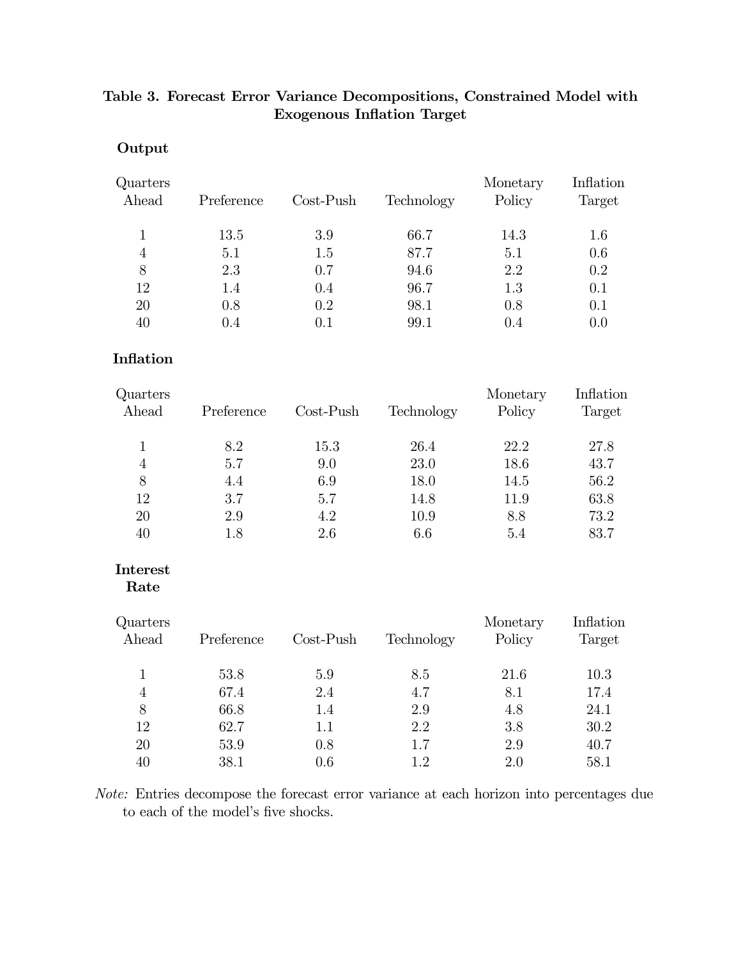| Quarters<br>Ahead | Preference | $Cost-Push$ | Technology | Monetary<br>Policy | Inflation<br>Target |
|-------------------|------------|-------------|------------|--------------------|---------------------|
|                   | 13.5       | 3.9         | 66.7       | 14.3               | 1.6                 |
| 4                 | 5.1        | 1.5         | 87.7       | 5.1                | 0.6                 |
| 8                 | 2.3        | 0.7         | 94.6       | 2.2                | 0.2                 |
| 12                | 1.4        | 0.4         | 96.7       | 1.3                | 0.1                 |
| 20                | 0.8        | 0.2         | 98.1       | 0.8                | 0.1                 |
| 40                | 0.4        | 0.1         | 99.1       | (0.4)              | 0.0                 |

### Table 3. Forecast Error Variance Decompositions, Constrained Model with Exogenous Inflation Target

### Inflation

Output

| Quarters<br>Ahead | Preference | $Cost-Push$ | Technology | Monetary<br>Policy | Inflation<br>Target |
|-------------------|------------|-------------|------------|--------------------|---------------------|
|                   | 8.2        | 15.3        | 26.4       | 22.2               | 27.8                |
| 4                 | 5.7        | 9.0         | 23.0       | 18.6               | 43.7                |
| 8                 | 4.4        | 6.9         | 18.0       | 14.5               | 56.2                |
| 12                | 3.7        | 5.7         | 14.8       | 11.9               | 63.8                |
| 20                | 2.9        | 4.2         | 10.9       | 8.8                | 73.2                |
| 40                | 1.8        | 2.6         | 6.6        | 5.4                | 83.7                |

### Interest

Rate

| Quarters |            |             |            | Monetary | Inflation |
|----------|------------|-------------|------------|----------|-----------|
| Ahead    | Preference | $Cost-Push$ | Technology | Policy   | Target    |
| 1        | 53.8       | 5.9         | 8.5        | 21.6     | 10.3      |
| 4        | 67.4       | 2.4         | 4.7        | 8.1      | 17.4      |
| 8        | 66.8       | 1.4         | 2.9        | 4.8      | 24.1      |
| 12       | 62.7       | 1.1         | 2.2        | 3.8      | 30.2      |
| 20       | 53.9       | 0.8         | 1.7        | 2.9      | 40.7      |
| 40       | 38.1       | 0.6         | 12         | 2.0      | 58.1      |

Note: Entries decompose the forecast error variance at each horizon into percentages due to each of the model's five shocks.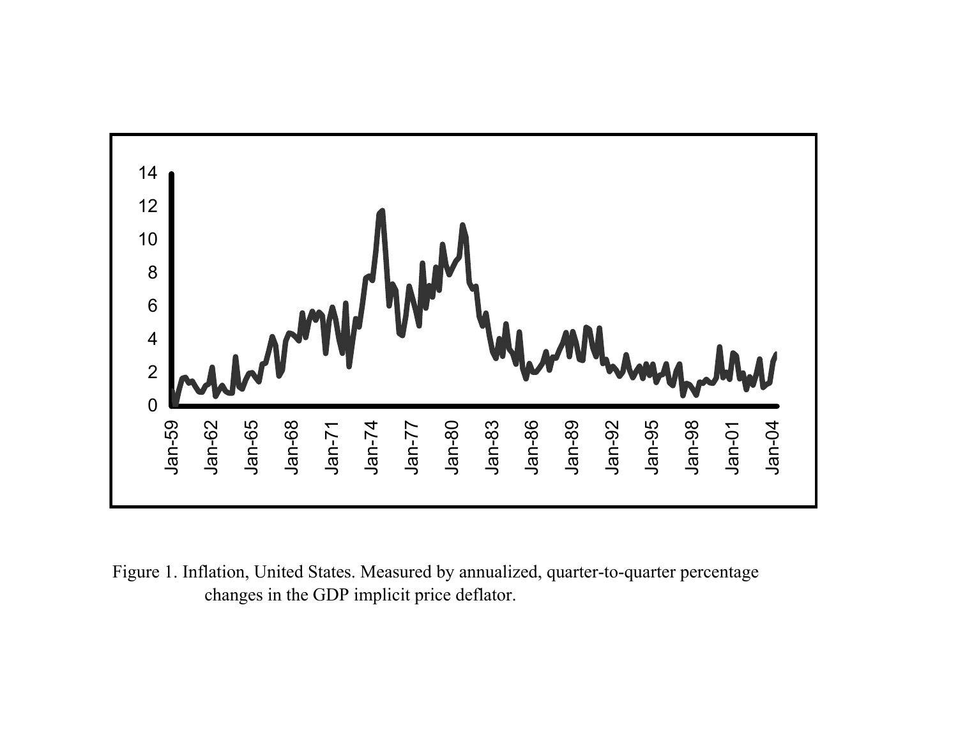

Figure 1. Inflation, United States. Measured by annualized, quarter-to-quarter percentage changes in the GDP implicit price deflator.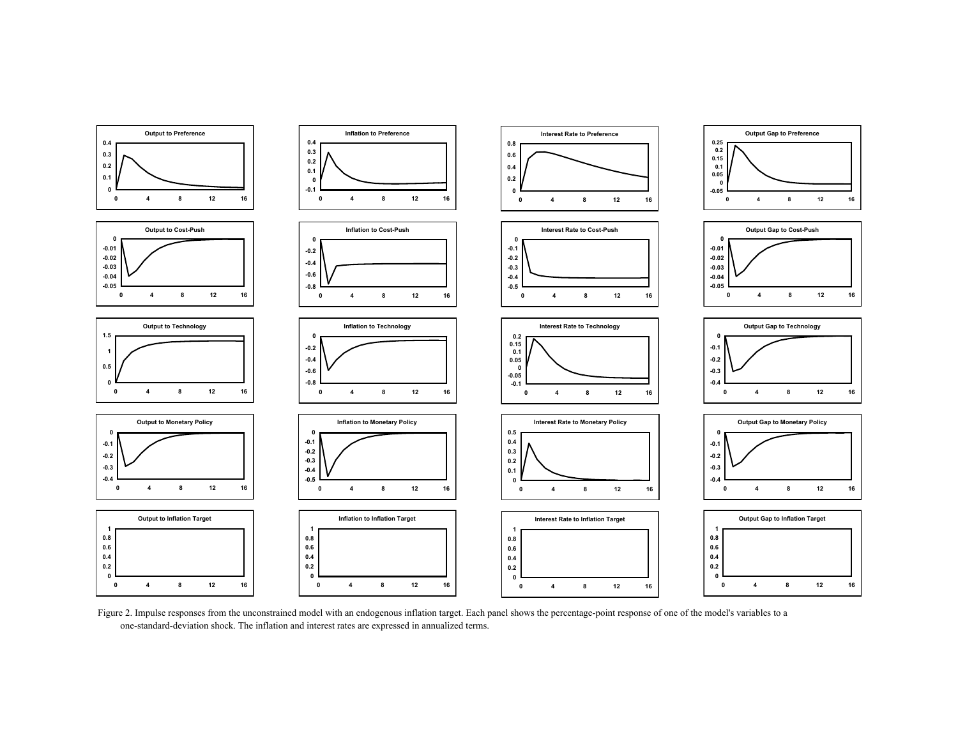

Figure 2. Impulse responses from the unconstrained model with an endogenous inflation target. Each panel shows the percentage-point response of one of the model's variables to a one-standard-deviation shock. The inflation and interest rates are expressed in annualized terms.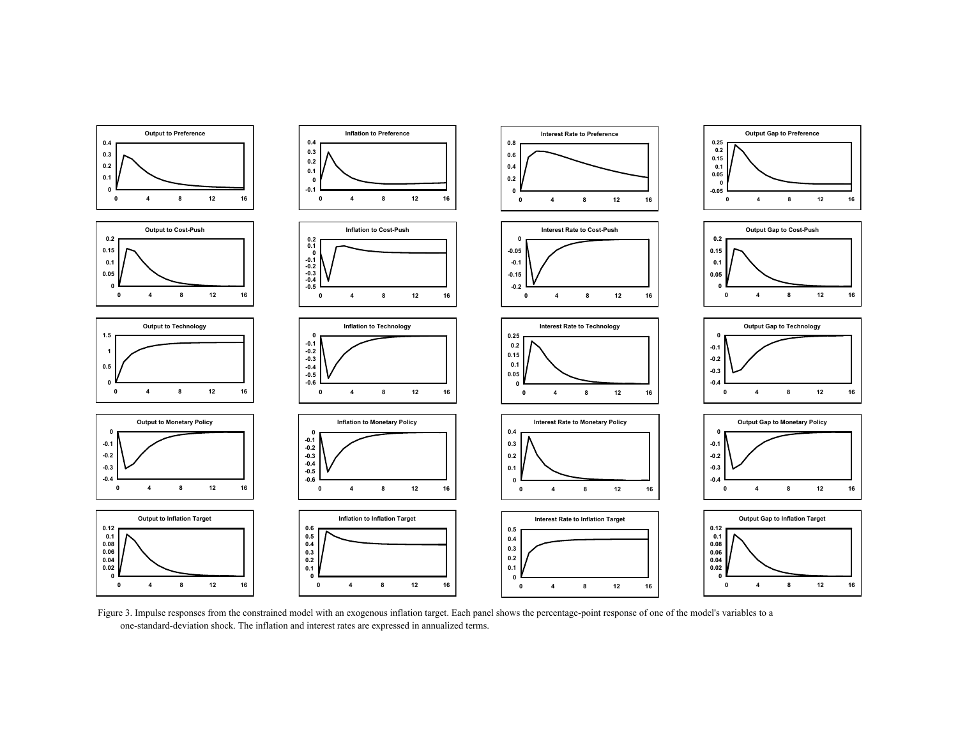

Figure 3. Impulse responses from the constrained model with an exogenous inflation target. Each panel shows the percentage-point response of one of the model's variables to a one-standard-deviation shock. The inflation and interest rates are expressed in annualized terms.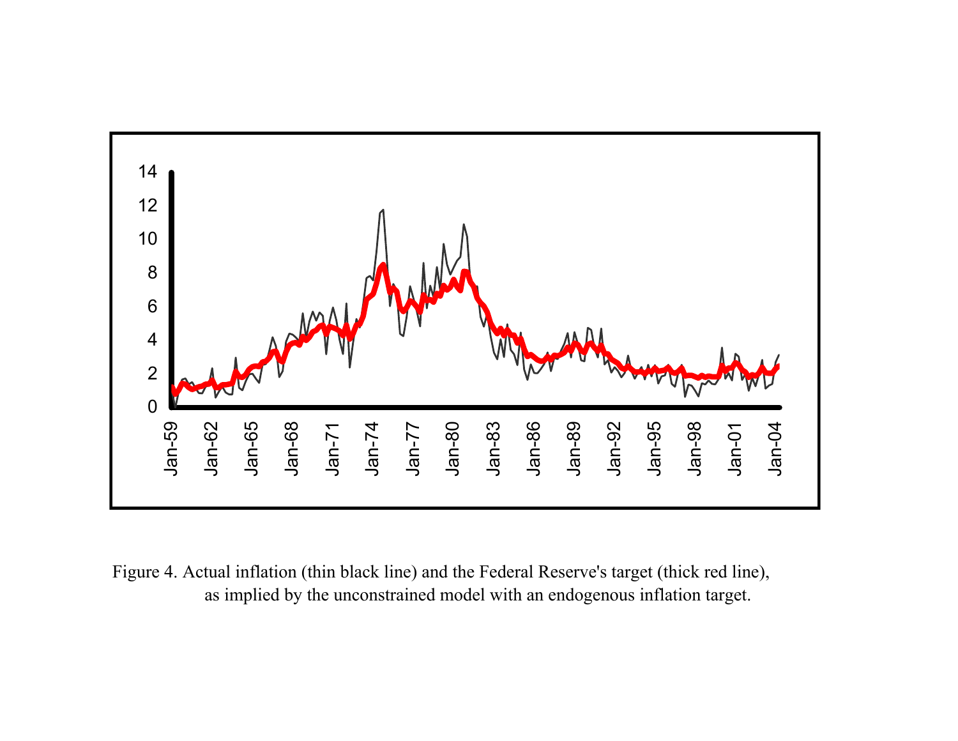

Figure 4. Actual inflation (thin black line) and the Federal Reserve's target (thick red line), as implied by the unconstrained model with an endogenous inflation target.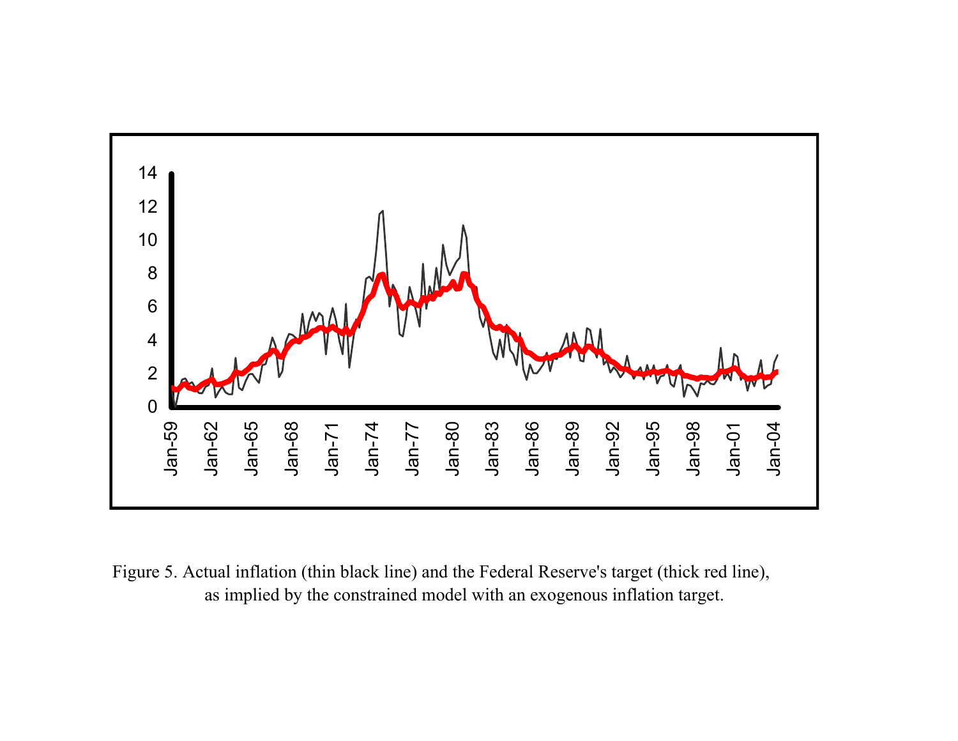

Figure 5. Actual inflation (thin black line) and the Federal Reserve's target (thick red line), as implied by the constrained model with an exogenous inflation target.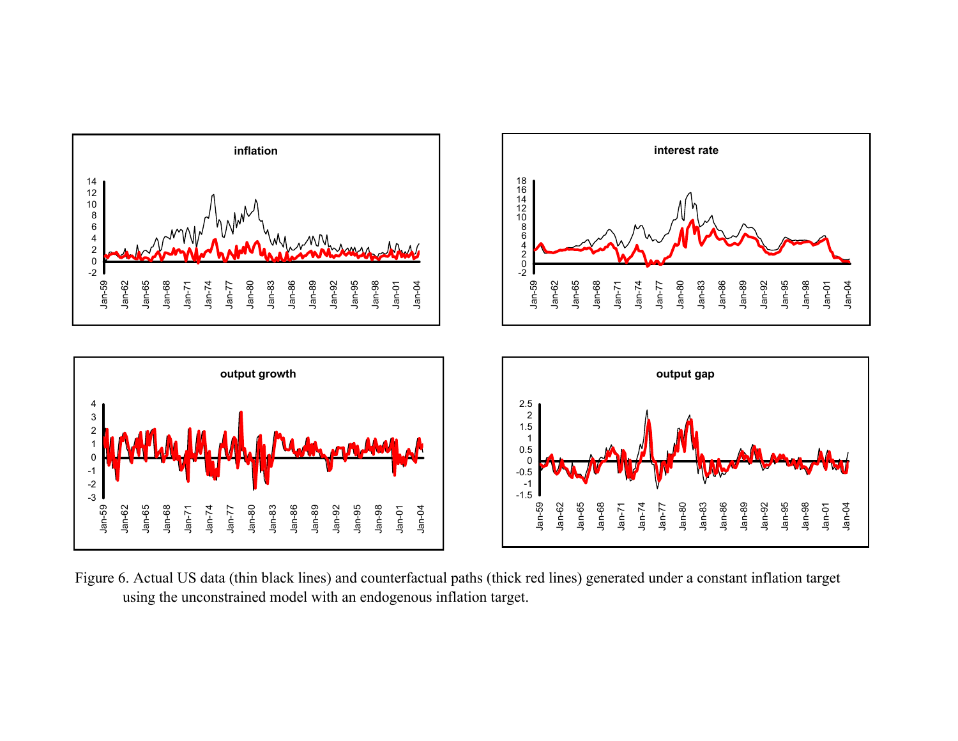

Figure 6. Actual US data (thin black lines) and counterfactual paths (thick red lines) generated under a constant inflation target using the unconstrained model with an endogenous inflation target.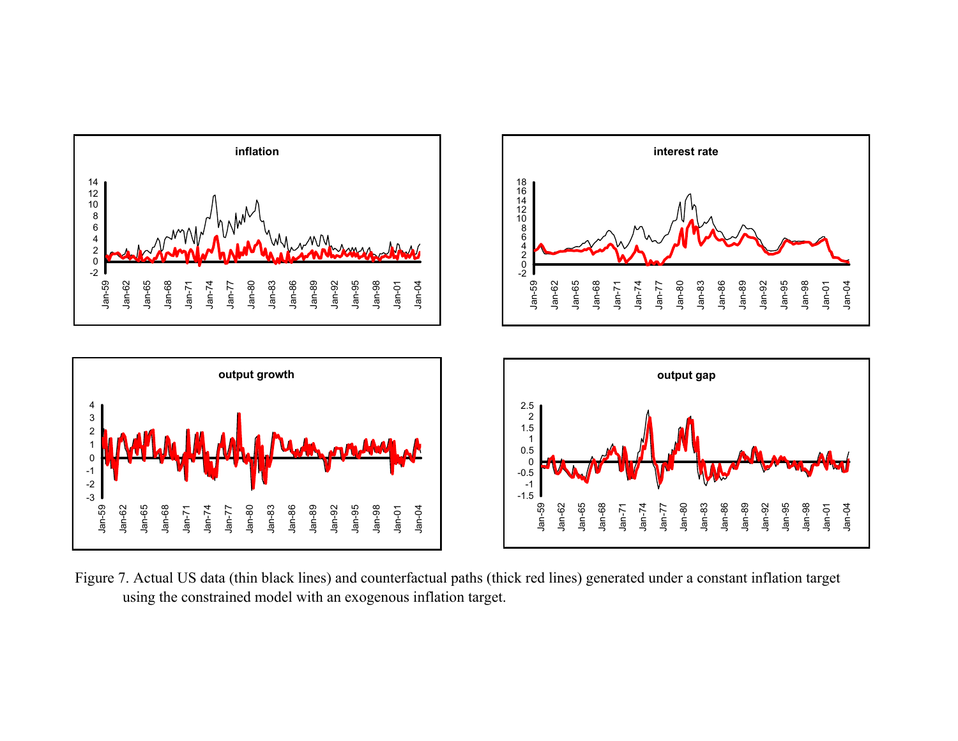

Figure 7. Actual US data (thin black lines) and counterfactual paths (thick red lines) generated under a constant inflation target using the constrained model with an exogenous inflation target.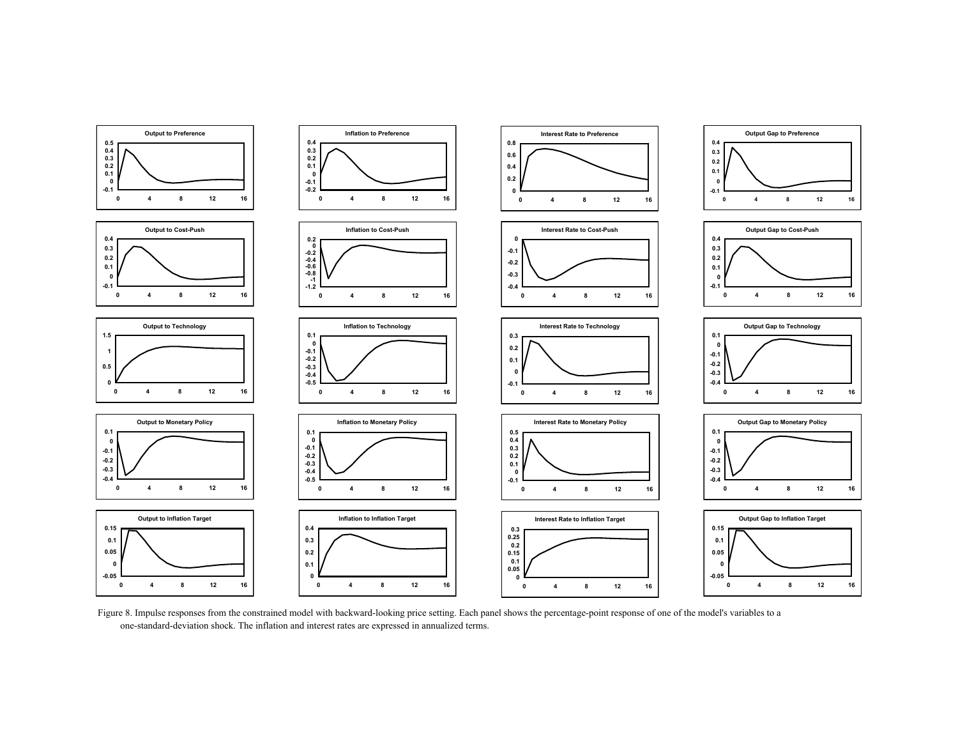

Figure 8. Impulse responses from the constrained model with backward-looking price setting. Each panel shows the percentage-point response of one of the model's variables to a one-standard-deviation shock. The inflation and interest rates are expressed in annualized terms.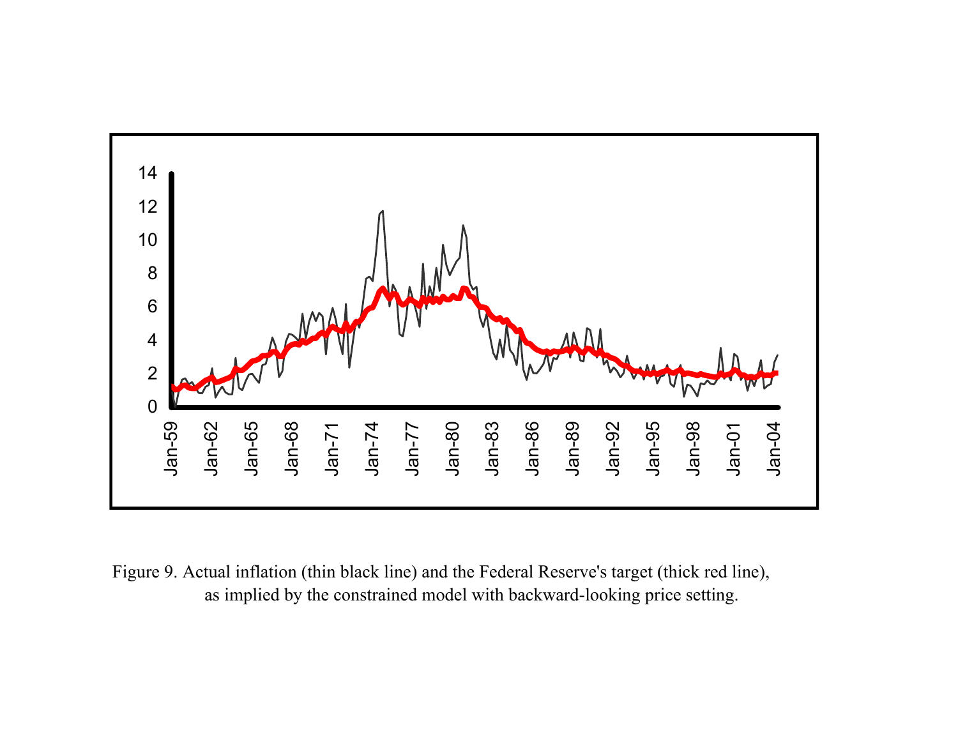

Figure 9. Actual inflation (thin black line) and the Federal Reserve's target (thick red line), as implied by the constrained model with backward-looking price setting.